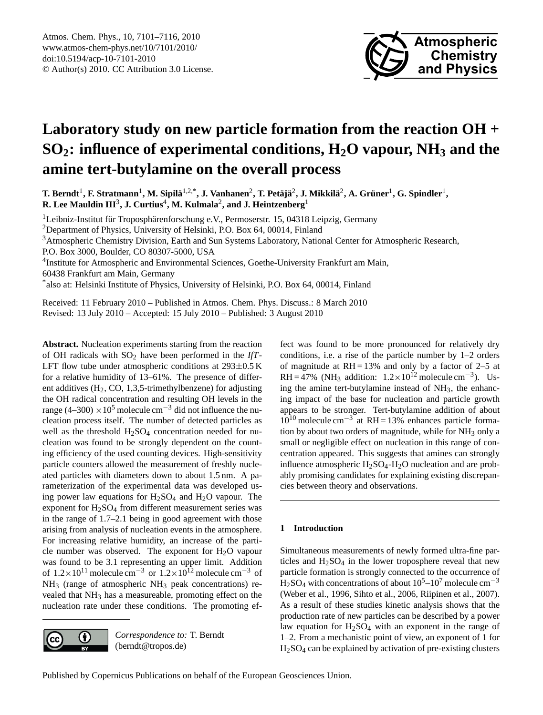

# <span id="page-0-0"></span>**Laboratory study on new particle formation from the reaction OH + SO2: influence of experimental conditions, H2O vapour, NH<sup>3</sup> and the amine tert-butylamine on the overall process**

 $\bf{T}.$  Berndt<sup>1</sup>, F. Stratmann<sup>1</sup>, M. Sipilä<sup>1,2,\*</sup>, J. Vanhanen<sup>2</sup>, T. Petäjä<sup>2</sup>, J. Mikkilä<sup>2</sup>, A. Grüner<sup>1</sup>, G. Spindler<sup>1</sup>, **R.** Lee Mauldin  $\mathbf{III}^3$ , J. Curtius $^4$ , M. Kulmala $^2$ , and J. Heintzenberg $^1$ 

 $1$ Leibniz-Institut für Troposphärenforschung e.V., Permoserstr. 15, 04318 Leipzig, Germany

<sup>2</sup>Department of Physics, University of Helsinki, P.O. Box 64, 00014, Finland

<sup>3</sup>Atmospheric Chemistry Division, Earth and Sun Systems Laboratory, National Center for Atmospheric Research,

P.O. Box 3000, Boulder, CO 80307-5000, USA

<sup>4</sup>Institute for Atmospheric and Environmental Sciences, Goethe-University Frankfurt am Main,

60438 Frankfurt am Main, Germany

\* also at: Helsinki Institute of Physics, University of Helsinki, P.O. Box 64, 00014, Finland

Received: 11 February 2010 – Published in Atmos. Chem. Phys. Discuss.: 8 March 2010 Revised: 13 July 2010 – Accepted: 15 July 2010 – Published: 3 August 2010

**Abstract.** Nucleation experiments starting from the reaction of OH radicals with SO<sup>2</sup> have been performed in the *IfT*-LFT flow tube under atmospheric conditions at  $293\pm0.5$  K for a relative humidity of 13–61%. The presence of different additives  $(H_2, CO, 1, 3, 5$ -trimethylbenzene) for adjusting the OH radical concentration and resulting OH levels in the range (4–300) ×10<sup>5</sup> molecule cm<sup>-3</sup> did not influence the nucleation process itself. The number of detected particles as well as the threshold  $H_2SO_4$  concentration needed for nucleation was found to be strongly dependent on the counting efficiency of the used counting devices. High-sensitivity particle counters allowed the measurement of freshly nucleated particles with diameters down to about 1.5 nm. A parameterization of the experimental data was developed using power law equations for  $H_2SO_4$  and  $H_2O$  vapour. The exponent for  $H<sub>2</sub>SO<sub>4</sub>$  from different measurement series was in the range of 1.7–2.1 being in good agreement with those arising from analysis of nucleation events in the atmosphere. For increasing relative humidity, an increase of the particle number was observed. The exponent for  $H_2O$  vapour was found to be 3.1 representing an upper limit. Addition of  $1.2\times10^{11}$  molecule cm<sup>-3</sup> or  $1.2\times10^{12}$  molecule cm<sup>-3</sup> of  $NH<sub>3</sub>$  (range of atmospheric  $NH<sub>3</sub>$  peak concentrations) revealed that NH<sup>3</sup> has a measureable, promoting effect on the nucleation rate under these conditions. The promoting ef-



*Correspondence to:* T. Berndt (berndt@tropos.de)

fect was found to be more pronounced for relatively dry conditions, i.e. a rise of the particle number by 1–2 orders of magnitude at  $RH = 13%$  and only by a factor of 2–5 at RH = 47% (NH<sub>3</sub> addition:  $1.2 \times 10^{12}$  molecule cm<sup>-3</sup>). Using the amine tert-butylamine instead of  $NH<sub>3</sub>$ , the enhancing impact of the base for nucleation and particle growth appears to be stronger. Tert-butylamine addition of about  $10^{10}$  molecule cm<sup>-3</sup> at RH = 13% enhances particle formation by about two orders of magnitude, while for  $NH_3$  only a small or negligible effect on nucleation in this range of concentration appeared. This suggests that amines can strongly influence atmospheric  $H_2SO_4-H_2O$  nucleation and are probably promising candidates for explaining existing discrepancies between theory and observations.

# **1 Introduction**

Simultaneous measurements of newly formed ultra-fine particles and  $H_2SO_4$  in the lower troposphere reveal that new particle formation is strongly connected to the occurrence of H<sub>2</sub>SO<sub>4</sub> with concentrations of about  $10^5$ – $10^7$  molecule cm<sup>-3</sup> (Weber et al., 1996, Sihto et al., 2006, Riipinen et al., 2007). As a result of these studies kinetic analysis shows that the production rate of new particles can be described by a power law equation for  $H_2SO_4$  with an exponent in the range of 1–2. From a mechanistic point of view, an exponent of 1 for H2SO<sup>4</sup> can be explained by activation of pre-existing clusters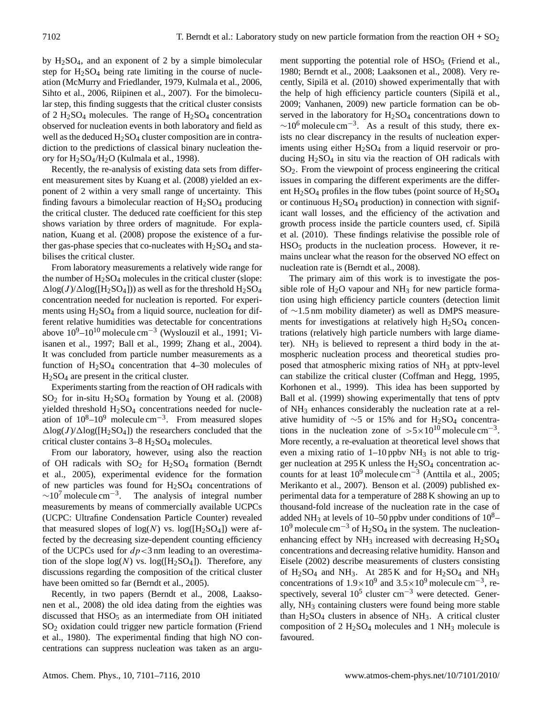by  $H_2SO_4$ , and an exponent of 2 by a simple bimolecular step for  $H_2SO_4$  being rate limiting in the course of nucleation (McMurry and Friedlander, 1979, Kulmala et al., 2006, Sihto et al., 2006, Riipinen et al., 2007). For the bimolecular step, this finding suggests that the critical cluster consists of 2  $H_2SO_4$  molecules. The range of  $H_2SO_4$  concentration observed for nucleation events in both laboratory and field as well as the deduced  $H_2SO_4$  cluster composition are in contradiction to the predictions of classical binary nucleation theory for H2SO4/H2O (Kulmala et al., 1998).

Recently, the re-analysis of existing data sets from different measurement sites by Kuang et al. (2008) yielded an exponent of 2 within a very small range of uncertainty. This finding favours a bimolecular reaction of  $H_2SO_4$  producing the critical cluster. The deduced rate coefficient for this step shows variation by three orders of magnitude. For explanation, Kuang et al. (2008) propose the existence of a further gas-phase species that co-nucleates with  $H_2SO_4$  and stabilises the critical cluster.

From laboratory measurements a relatively wide range for the number of  $H<sub>2</sub>SO<sub>4</sub>$  molecules in the critical cluster (slope:  $\Delta$ log(J)/ $\Delta$ log([H<sub>2</sub>SO<sub>4</sub>])) as well as for the threshold H<sub>2</sub>SO<sub>4</sub> concentration needed for nucleation is reported. For experiments using  $H<sub>2</sub>SO<sub>4</sub>$  from a liquid source, nucleation for different relative humidities was detectable for concentrations above  $10^9$ – $10^{10}$  molecule cm<sup>-3</sup> (Wyslouzil et al., 1991; Viisanen et al., 1997; Ball et al., 1999; Zhang et al., 2004). It was concluded from particle number measurements as a function of  $H_2SO_4$  concentration that 4–30 molecules of  $H<sub>2</sub>SO<sub>4</sub>$  are present in the critical cluster.

Experiments starting from the reaction of OH radicals with  $SO<sub>2</sub>$  for in-situ H<sub>2</sub>SO<sub>4</sub> formation by Young et al. (2008) yielded threshold H<sub>2</sub>SO<sub>4</sub> concentrations needed for nucleation of  $10^8 - 10^9$  molecule cm<sup>-3</sup>. From measured slopes  $\Delta$ log(J)/ $\Delta$ log([H<sub>2</sub>SO<sub>4</sub>]) the researchers concluded that the critical cluster contains  $3-8$  H<sub>2</sub>SO<sub>4</sub> molecules.

From our laboratory, however, using also the reaction of OH radicals with  $SO_2$  for  $H_2SO_4$  formation (Berndt et al., 2005), experimental evidence for the formation of new particles was found for  $H<sub>2</sub>SO<sub>4</sub>$  concentrations of  $\sim$ 10<sup>7</sup> molecule cm<sup>-3</sup>. The analysis of integral number measurements by means of commercially available UCPCs (UCPC: Ultrafine Condensation Particle Counter) revealed that measured slopes of  $log(N)$  vs.  $log([H_2SO_4])$  were affected by the decreasing size-dependent counting efficiency of the UCPCs used for  $dp < 3$  nm leading to an overestimation of the slope  $log(N)$  vs.  $log([H_2SO_4])$ . Therefore, any discussions regarding the composition of the critical cluster have been omitted so far (Berndt et al., 2005).

Recently, in two papers (Berndt et al., 2008, Laaksonen et al., 2008) the old idea dating from the eighties was discussed that  $HSO<sub>5</sub>$  as an intermediate from OH initiated SO<sup>2</sup> oxidation could trigger new particle formation (Friend et al., 1980). The experimental finding that high NO concentrations can suppress nucleation was taken as an argument supporting the potential role of  $HSO<sub>5</sub>$  (Friend et al., 1980; Berndt et al., 2008; Laaksonen et al., 2008). Very recently, Sipilä et al. (2010) showed experimentally that with the help of high efficiency particle counters (Sipilä et al., 2009; Vanhanen, 2009) new particle formation can be observed in the laboratory for  $H<sub>2</sub>SO<sub>4</sub>$  concentrations down to  $\sim$ 10<sup>6</sup> molecule cm<sup>-3</sup>. As a result of this study, there exists no clear discrepancy in the results of nucleation experiments using either  $H<sub>2</sub>SO<sub>4</sub>$  from a liquid reservoir or producing  $H_2SO_4$  in situ via the reaction of OH radicals with SO2. From the viewpoint of process engineering the critical issues in comparing the different experiments are the different  $H<sub>2</sub>SO<sub>4</sub>$  profiles in the flow tubes (point source of  $H<sub>2</sub>SO<sub>4</sub>$ or continuous  $H_2SO_4$  production) in connection with significant wall losses, and the efficiency of the activation and growth process inside the particle counters used, cf. Sipilä et al. (2010). These findings relativise the possible role of  $HSO<sub>5</sub>$  products in the nucleation process. However, it remains unclear what the reason for the observed NO effect on nucleation rate is (Berndt et al., 2008).

The primary aim of this work is to investigate the possible role of  $H_2O$  vapour and  $NH_3$  for new particle formation using high efficiency particle counters (detection limit of ∼1.5 nm mobility diameter) as well as DMPS measurements for investigations at relatively high  $H<sub>2</sub>SO<sub>4</sub>$  concentrations (relatively high particle numbers with large diameter).  $NH<sub>3</sub>$  is believed to represent a third body in the atmospheric nucleation process and theoretical studies proposed that atmospheric mixing ratios of NH<sub>3</sub> at pptv-level can stabilize the critical cluster (Coffman and Hegg, 1995, Korhonen et al., 1999). This idea has been supported by Ball et al. (1999) showing experimentally that tens of pptv of NH<sup>3</sup> enhances considerably the nucleation rate at a relative humidity of ~5 or 15% and for H<sub>2</sub>SO<sub>4</sub> concentrations in the nucleation zone of  $>5\times10^{10}$  molecule cm<sup>-3</sup>. More recently, a re-evaluation at theoretical level shows that even a mixing ratio of  $1-10$  ppbv NH<sub>3</sub> is not able to trigger nucleation at 295 K unless the  $H<sub>2</sub>SO<sub>4</sub>$  concentration accounts for at least  $10^9$  molecule cm<sup>-3</sup> (Anttila et al., 2005; Merikanto et al., 2007). Benson et al. (2009) published experimental data for a temperature of 288 K showing an up to thousand-fold increase of the nucleation rate in the case of added NH<sub>3</sub> at levels of 10–50 ppbv under conditions of  $10<sup>8</sup>$ –  $10^9$  molecule cm<sup>-3</sup> of H<sub>2</sub>SO<sub>4</sub> in the system. The nucleationenhancing effect by  $NH_3$  increased with decreasing  $H_2SO_4$ concentrations and decreasing relative humidity. Hanson and Eisele (2002) describe measurements of clusters consisting of  $H_2SO_4$  and NH<sub>3</sub>. At 285 K and for  $H_2SO_4$  and NH<sub>3</sub> concentrations of  $1.9 \times 10^9$  and  $3.5 \times 10^9$  molecule cm<sup>-3</sup>, respectively, several  $10^5$  cluster cm<sup>-3</sup> were detected. Generally,  $NH<sub>3</sub>$  containing clusters were found being more stable than  $H<sub>2</sub>SO<sub>4</sub>$  clusters in absence of NH<sub>3</sub>. A critical cluster composition of  $2 \text{ H}_2\text{SO}_4$  molecules and  $1 \text{ NH}_3$  molecule is favoured.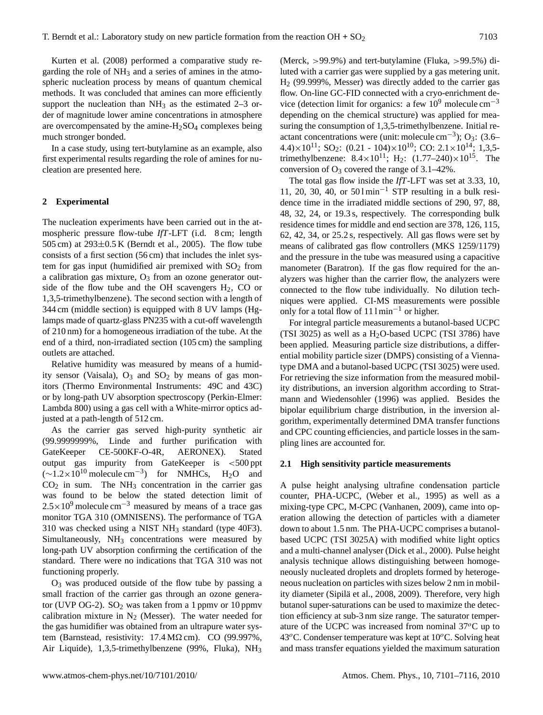Kurten et al. (2008) performed a comparative study regarding the role of  $NH_3$  and a series of amines in the atmospheric nucleation process by means of quantum chemical methods. It was concluded that amines can more efficiently support the nucleation than  $NH_3$  as the estimated 2–3 order of magnitude lower amine concentrations in atmosphere are overcompensated by the amine- $H<sub>2</sub>SO<sub>4</sub>$  complexes being much stronger bonded.

In a case study, using tert-butylamine as an example, also first experimental results regarding the role of amines for nucleation are presented here.

## **2 Experimental**

The nucleation experiments have been carried out in the atmospheric pressure flow-tube *IfT*-LFT (i.d. 8 cm; length 505 cm) at  $293\pm0.5$  K (Berndt et al., 2005). The flow tube consists of a first section (56 cm) that includes the inlet system for gas input (humidified air premixed with  $SO<sub>2</sub>$  from a calibration gas mixture,  $O_3$  from an ozone generator outside of the flow tube and the OH scavengers  $H_2$ , CO or 1,3,5-trimethylbenzene). The second section with a length of 344 cm (middle section) is equipped with 8 UV lamps (Hglamps made of quartz-glass PN235 with a cut-off wavelength of 210 nm) for a homogeneous irradiation of the tube. At the end of a third, non-irradiated section (105 cm) the sampling outlets are attached.

Relative humidity was measured by means of a humidity sensor (Vaisala),  $O_3$  and  $SO_2$  by means of gas monitors (Thermo Environmental Instruments: 49C and 43C) or by long-path UV absorption spectroscopy (Perkin-Elmer: Lambda 800) using a gas cell with a White-mirror optics adjusted at a path-length of 512 cm.

As the carrier gas served high-purity synthetic air (99.9999999%, Linde and further purification with GateKeeper CE-500KF-O-4R, AERONEX). Stated output gas impurity from GateKeeper is <500 ppt  $(\sim 1.2 \times 10^{10} \text{ molecule cm}^{-3})$  for NMHCs, H<sub>2</sub>O and  $CO<sub>2</sub>$  in sum. The NH<sub>3</sub> concentration in the carrier gas was found to be below the stated detection limit of  $2.5 \times 10^{9}$  molecule cm<sup>-3</sup> measured by means of a trace gas monitor TGA 310 (OMNISENS). The performance of TGA 310 was checked using a NIST NH<sup>3</sup> standard (type 40F3). Simultaneously, NH<sub>3</sub> concentrations were measured by long-path UV absorption confirming the certification of the standard. There were no indications that TGA 310 was not functioning properly.

 $O_3$  was produced outside of the flow tube by passing a small fraction of the carrier gas through an ozone generator (UVP OG-2).  $SO_2$  was taken from a 1 ppmv or 10 ppmv calibration mixture in  $N_2$  (Messer). The water needed for the gas humidifier was obtained from an ultrapure water system (Barnstead, resistivity:  $17.4 M\Omega$  cm). CO (99.997%, Air Liquide), 1,3,5-trimethylbenzene (99%, Fluka), NH<sup>3</sup> (Merck, >99.9%) and tert-butylamine (Fluka, >99.5%) diluted with a carrier gas were supplied by a gas metering unit. H<sup>2</sup> (99.999%, Messer) was directly added to the carrier gas flow. On-line GC-FID connected with a cryo-enrichment device (detection limit for organics: a few  $10^9$  molecule cm<sup>-3</sup> depending on the chemical structure) was applied for measuring the consumption of 1,3,5-trimethylbenzene. Initial reactant concentrations were (unit: molecule cm<sup>-3</sup>); O<sub>3</sub>: (3.6– 4.4) $\times$ 10<sup>11</sup>; SO<sub>2</sub>: (0.21 - 104) $\times$ 10<sup>10</sup>; CO: 2.1 $\times$ 10<sup>14</sup>; 1,3,5 trimethylbenzene:  $8.4 \times 10^{11}$ ; H<sub>2</sub>:  $(1.77-240) \times 10^{15}$ . The conversion of  $O_3$  covered the range of 3.1–42%.

The total gas flow inside the *IfT*-LFT was set at 3.33, 10, 11, 20, 30, 40, or  $501 \text{min}^{-1}$  STP resulting in a bulk residence time in the irradiated middle sections of 290, 97, 88, 48, 32, 24, or 19.3 s, respectively. The corresponding bulk residence times for middle and end section are 378, 126, 115, 62, 42, 34, or 25.2 s, respectively. All gas flows were set by means of calibrated gas flow controllers (MKS 1259/1179) and the pressure in the tube was measured using a capacitive manometer (Baratron). If the gas flow required for the analyzers was higher than the carrier flow, the analyzers were connected to the flow tube individually. No dilution techniques were applied. CI-MS measurements were possible only for a total flow of  $111 \text{min}^{-1}$  or higher.

For integral particle measurements a butanol-based UCPC (TSI 3025) as well as a  $H<sub>2</sub>O$ -based UCPC (TSI 3786) have been applied. Measuring particle size distributions, a differential mobility particle sizer (DMPS) consisting of a Viennatype DMA and a butanol-based UCPC (TSI 3025) were used. For retrieving the size information from the measured mobility distributions, an inversion algorithm according to Stratmann and Wiedensohler (1996) was applied. Besides the bipolar equilibrium charge distribution, in the inversion algorithm, experimentally determined DMA transfer functions and CPC counting efficiencies, and particle losses in the sampling lines are accounted for.

#### **2.1 High sensitivity particle measurements**

A pulse height analysing ultrafine condensation particle counter, PHA-UCPC, (Weber et al., 1995) as well as a mixing-type CPC, M-CPC (Vanhanen, 2009), came into operation allowing the detection of particles with a diameter down to about 1.5 nm. The PHA-UCPC comprises a butanolbased UCPC (TSI 3025A) with modified white light optics and a multi-channel analyser (Dick et al., 2000). Pulse height analysis technique allows distinguishing between homogeneously nucleated droplets and droplets formed by heterogeneous nucleation on particles with sizes below 2 nm in mobility diameter (Sipilä et al., 2008, 2009). Therefore, very high butanol super-saturations can be used to maximize the detection efficiency at sub-3 nm size range. The saturator temperature of the UCPC was increased from nominal  $37^{\circ}$ C up to 43<sup>o</sup>C. Condenser temperature was kept at  $10^{\circ}$ C. Solving heat and mass transfer equations yielded the maximum saturation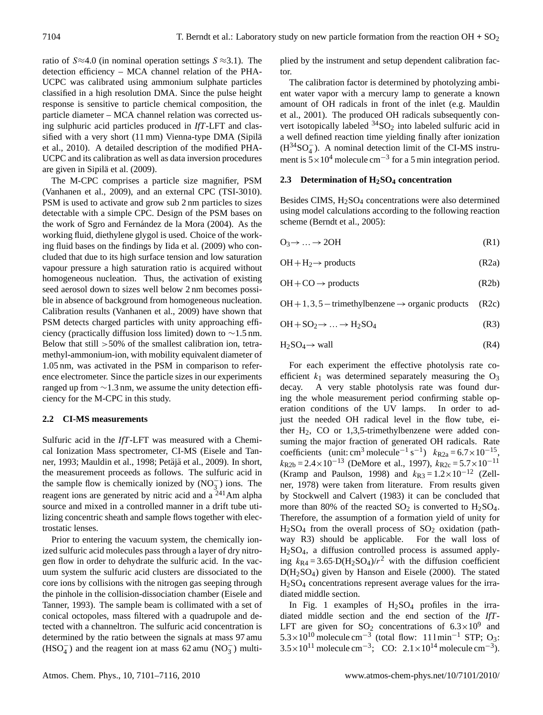ratio of  $S \approx 4.0$  (in nominal operation settings  $S \approx 3.1$ ). The detection efficiency – MCA channel relation of the PHA-UCPC was calibrated using ammonium sulphate particles classified in a high resolution DMA. Since the pulse height response is sensitive to particle chemical composition, the particle diameter – MCA channel relation was corrected using sulphuric acid particles produced in *IfT*-LFT and classified with a very short (11 mm) Vienna-type DMA (Sipilä et al., 2010). A detailed description of the modified PHA-UCPC and its calibration as well as data inversion procedures are given in Sipilä et al. (2009).

The M-CPC comprises a particle size magnifier, PSM (Vanhanen et al., 2009), and an external CPC (TSI-3010). PSM is used to activate and grow sub 2 nm particles to sizes detectable with a simple CPC. Design of the PSM bases on the work of Sgro and Fernández de la Mora (2004). As the working fluid, diethylene glygol is used. Choice of the working fluid bases on the findings by Iida et al. (2009) who concluded that due to its high surface tension and low saturation vapour pressure a high saturation ratio is acquired without homogeneous nucleation. Thus, the activation of existing seed aerosol down to sizes well below 2 nm becomes possible in absence of background from homogeneous nucleation. Calibration results (Vanhanen et al., 2009) have shown that PSM detects charged particles with unity approaching efficiency (practically diffusion loss limited) down to ∼1.5 nm. Below that still  $>50\%$  of the smallest calibration ion, tetramethyl-ammonium-ion, with mobility equivalent diameter of 1.05 nm, was activated in the PSM in comparison to reference electrometer. Since the particle sizes in our experiments ranged up from ∼1.3 nm, we assume the unity detection efficiency for the M-CPC in this study.

## **2.2 CI-MS measurements**

Sulfuric acid in the *IfT*-LFT was measured with a Chemical Ionization Mass spectrometer, CI-MS (Eisele and Tanner, 1993; Mauldin et al., 1998; Petäjä et al., 2009). In short, the measurement proceeds as follows. The sulfuric acid in the sample flow is chemically ionized by  $(NO<sub>3</sub><sup>-</sup>)$  ions. The reagent ions are generated by nitric acid and a <sup>241</sup>Am alpha source and mixed in a controlled manner in a drift tube utilizing concentric sheath and sample flows together with electrostatic lenses.

Prior to entering the vacuum system, the chemically ionized sulfuric acid molecules pass through a layer of dry nitrogen flow in order to dehydrate the sulfuric acid. In the vacuum system the sulfuric acid clusters are dissociated to the core ions by collisions with the nitrogen gas seeping through the pinhole in the collision-dissociation chamber (Eisele and Tanner, 1993). The sample beam is collimated with a set of conical octopoles, mass filtered with a quadrupole and detected with a channeltron. The sulfuric acid concentration is determined by the ratio between the signals at mass 97 amu (HSO<sub>4</sub><sup> $\overline{Q}$ </sup>) and the reagent ion at mass 62 amu (NO<sub>3</sub><sup> $\overline{Q}$ </sup>) multiplied by the instrument and setup dependent calibration factor.

The calibration factor is determined by photolyzing ambient water vapor with a mercury lamp to generate a known amount of OH radicals in front of the inlet (e.g. Mauldin et al., 2001). The produced OH radicals subsequently convert isotopically labeled  $34$ SO<sub>2</sub> into labeled sulfuric acid in a well defined reaction time yielding finally after ionization (H34SO<sup>−</sup> 4 ). A nominal detection limit of the CI-MS instrument is  $5 \times 10^4$  molecule cm<sup>-3</sup> for a 5 min integration period.

## **2.3 Determination of H2SO<sup>4</sup> concentration**

Besides CIMS, H<sub>2</sub>SO<sub>4</sub> concentrations were also determined using model calculations according to the following reaction scheme (Berndt et al., 2005):

$$
O_3 \to \dots \to 2OH \tag{R1}
$$

$$
OH + H_2 \rightarrow products
$$
 (R2a)

$$
OH + CO \rightarrow products
$$
 (R2b)

 $OH+1,3,5-trimethylbenzene \rightarrow organic products$  (R2c)

$$
OH + SO2 \rightarrow ... \rightarrow H2SO4
$$
 (R3)

$$
H_2SO_4 \to wall \tag{R4}
$$

For each experiment the effective photolysis rate coefficient  $k_1$  was determined separately measuring the  $O_3$ decay. A very stable photolysis rate was found during the whole measurement period confirming stable operation conditions of the UV lamps. In order to adjust the needed OH radical level in the flow tube, either  $H_2$ , CO or 1,3,5-trimethylbenzene were added consuming the major fraction of generated OH radicals. Rate coefficients (unit: cm<sup>3</sup> molecule<sup>-1</sup> s<sup>-1</sup>)  $k_{R2a} = 6.7 \times 10^{-15}$ ,  $k_{R2b} = 2.4 \times 10^{-13}$  (DeMore et al., 1997),  $k_{R2c} = 5.7 \times 10^{-11}$ (Kramp and Paulson, 1998) and  $k_{R3} = 1.2 \times 10^{-12}$  (Zellner, 1978) were taken from literature. From results given by Stockwell and Calvert (1983) it can be concluded that more than 80% of the reacted  $SO_2$  is converted to  $H_2SO_4$ . Therefore, the assumption of a formation yield of unity for  $H<sub>2</sub>SO<sub>4</sub>$  from the overall process of  $SO<sub>2</sub>$  oxidation (pathway R3) should be applicable. For the wall loss of H2SO4, a diffusion controlled process is assumed applying  $k_{\text{R4}} = 3.65 \cdot D(H_2SO_4)/r^2$  with the diffusion coefficient D(H2SO4) given by Hanson and Eisele (2000). The stated H2SO<sup>4</sup> concentrations represent average values for the irradiated middle section.

In Fig. 1 examples of  $H<sub>2</sub>SO<sub>4</sub>$  profiles in the irradiated middle section and the end section of the *IfT*-LFT are given for  $SO_2$  concentrations of  $6.3 \times 10^9$  and 5.3 × 10<sup>10</sup> molecule cm<sup>-3</sup> (total flow: 111 min<sup>-1</sup> STP; O<sub>3</sub>:  $3.5 \times 10^{11}$  molecule cm<sup>-3</sup>; CO:  $2.1 \times 10^{14}$  molecule cm<sup>-3</sup>).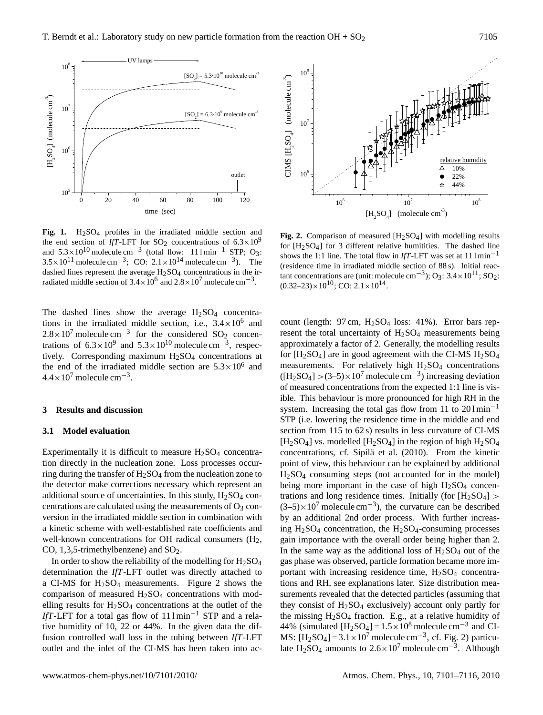

Fig. 1. H<sub>2</sub>SO<sub>4</sub> profiles in the irradiated middle section and the end section of *IfT*-LFT for SO<sub>2</sub> concentrations of  $6.3 \times 10^9$ and  $5.3 \times 10^{10}$  molecule cm<sup>-3</sup> (total flow: 111 min<sup>-1</sup> STP; O<sub>3</sub>:  $3.5 \times 10^{11}$  molecule cm<sup>-3</sup>; CO:  $2.1 \times 10^{14}$  molecule cm<sup>-3</sup>). The dashed lines represent the average  $H_2SO_4$  concentrations in the irradiated middle section of  $3.4 \times 10^6$  and  $2.8 \times 10^7$  molecule cm<sup>-3</sup>.

The dashed lines show the average  $H<sub>2</sub>SO<sub>4</sub>$  concentrations in the irradiated middle section, i.e.,  $3.4 \times 10^6$  and  $2.8 \times 10^7$  molecule cm<sup>-3</sup> for the considered SO<sub>2</sub> concentrations of  $6.3 \times 10^{9}$  and  $5.3 \times 10^{10}$  molecule cm<sup>-3</sup>, respectively. Corresponding maximum  $H<sub>2</sub>SO<sub>4</sub>$  concentrations at the end of the irradiated middle section are  $5.3 \times 10^6$  and  $4.4 \times 10^7$  molecule cm<sup>-3</sup>.

## **3 Results and discussion**

## **3.1 Model evaluation**

Experimentally it is difficult to measure  $H<sub>2</sub>SO<sub>4</sub>$  concentration directly in the nucleation zone. Loss processes occurring during the transfer of  $H_2SO_4$  from the nucleation zone to the detector make corrections necessary which represent an additional source of uncertainties. In this study,  $H<sub>2</sub>SO<sub>4</sub>$  concentrations are calculated using the measurements of  $O_3$  conversion in the irradiated middle section in combination with a kinetic scheme with well-established rate coefficients and well-known concentrations for OH radical consumers  $(H_2, H_3)$ CO,  $1,3,5$ -trimethylbenzene) and SO<sub>2</sub>.

In order to show the reliability of the modelling for  $H_2SO_4$ determination the *IfT*-LFT outlet was directly attached to a CI-MS for  $H<sub>2</sub>SO<sub>4</sub>$  measurements. Figure 2 shows the comparison of measured  $H<sub>2</sub>SO<sub>4</sub>$  concentrations with modelling results for  $H_2SO_4$  concentrations at the outlet of the *IfT*-LFT for a total gas flow of 11 lmin<sup>-1</sup> STP and a relative humidity of 10, 22 or 44%. In the given data the diffusion controlled wall loss in the tubing between *IfT*-LFT outlet and the inlet of the CI-MS has been taken into ac-



**Fig. 2.** Comparison of measured  $[H_2SO_4]$  with modelling results for  $[H_2SO_4]$  for 3 different relative humitities. The dashed line shows the 1:1 line. The total flow in *IfT*-LFT was set at  $111 \text{min}^{-1}$ (residence time in irradiated middle section of 88 s). Initial reactant concentrations are (unit: molecule cm<sup>-3</sup>); O<sub>3</sub>:  $3.4 \times 10^{11}$ ; SO<sub>2</sub>:  $(0.32-23) \times 10^{10}$ ; CO:  $2.1 \times 10^{14}$ .

count (length:  $97 \text{ cm}$ ,  $H_2SO_4$  loss:  $41\%$ ). Error bars represent the total uncertainty of  $H<sub>2</sub>SO<sub>4</sub>$  measurements being approximately a factor of 2. Generally, the modelling results for  $[H_2SO_4]$  are in good agreement with the CI-MS  $H_2SO_4$ measurements. For relatively high  $H<sub>2</sub>SO<sub>4</sub>$  concentrations  $([H<sub>2</sub>SO<sub>4</sub>] > (3-5) \times 10<sup>7</sup>$  molecule cm<sup>-3</sup>) increasing deviation of measured concentrations from the expected 1:1 line is visible. This behaviour is more pronounced for high RH in the system. Increasing the total gas flow from 11 to  $201 \text{min}^{-1}$ STP (i.e. lowering the residence time in the middle and end section from 115 to 62 s) results in less curvature of CI-MS  $[H<sub>2</sub>SO<sub>4</sub>]$  vs. modelled  $[H<sub>2</sub>SO<sub>4</sub>]$  in the region of high  $H<sub>2</sub>SO<sub>4</sub>$ concentrations, cf. Sipilä et al. (2010). From the kinetic point of view, this behaviour can be explained by additional  $H<sub>2</sub>SO<sub>4</sub>$  consuming steps (not accounted for in the model) being more important in the case of high  $H<sub>2</sub>SO<sub>4</sub>$  concentrations and long residence times. Initially (for  $[H_2SO_4] >$  $(3-5) \times 10^7$  molecule cm<sup>-3</sup>), the curvature can be described by an additional 2nd order process. With further increasing  $H<sub>2</sub>SO<sub>4</sub>$  concentration, the  $H<sub>2</sub>SO<sub>4</sub>$ -consuming processes gain importance with the overall order being higher than 2. In the same way as the additional loss of  $H<sub>2</sub>SO<sub>4</sub>$  out of the gas phase was observed, particle formation became more important with increasing residence time,  $H<sub>2</sub>SO<sub>4</sub>$  concentrations and RH, see explanations later. Size distribution measurements revealed that the detected particles (assuming that they consist of  $H_2SO_4$  exclusively) account only partly for the missing  $H<sub>2</sub>SO<sub>4</sub>$  fraction. E.g., at a relative humidity of 44% (simulated [H<sub>2</sub>SO<sub>4</sub>] =  $1.5 \times 10^8$  molecule cm<sup>-3</sup> and CI-MS:  $[H_2SO_4] = 3.1 \times 10^7$  molecule cm<sup>-3</sup>, cf. Fig. 2) particulate H<sub>2</sub>SO<sub>4</sub> amounts to 2.6×10<sup>7</sup> molecule cm<sup>-3</sup>. Although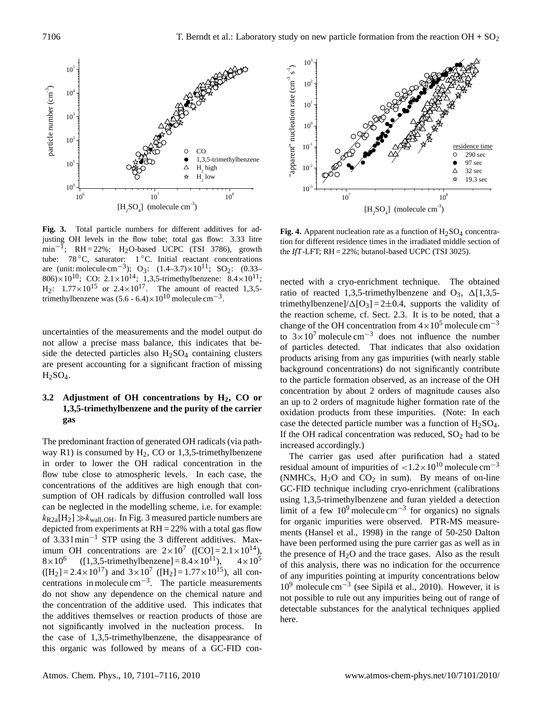

**Fig. 3.** Total particle numbers for different additives for adjusting OH levels in the flow tube; total gas flow: 3.33 litre  $\text{min}^{-1}$ ; RH = 22%; H<sub>2</sub>O-based UCPC (TSI 3786), growth tube: 78 ◦C, saturator: 1 ◦C. Initial reactant concentrations are (unit: molecule cm<sup>-3</sup>); O<sub>3</sub>:  $(1.4-3.7)\times10^{11}$ ; SO<sub>2</sub>:  $(0.33-1)$ 806) $\times 10^{10}$ ; CO:  $2.1 \times 10^{14}$ ; 1,3,5-trimethylbenzene:  $8.4 \times 10^{11}$ ;  $H_2$ :  $1.77 \times 10^{15}$  or  $2.4 \times 10^{17}$ . The amount of reacted 1,3,5trimethylbenzene was  $(5.6 - 6.4) \times 10^{10}$  molecule cm<sup>-3</sup>.

uncertainties of the measurements and the model output do not allow a precise mass balance, this indicates that beside the detected particles also  $H<sub>2</sub>SO<sub>4</sub>$  containing clusters are present accounting for a significant fraction of missing  $H<sub>2</sub>SO<sub>4</sub>$ .

# **3.2 Adjustment of OH concentrations by H2, CO or 1,3,5-trimethylbenzene and the purity of the carrier gas**

The predominant fraction of generated OH radicals (via pathway R1) is consumed by  $H_2$ , CO or 1,3,5-trimethylbenzene in order to lower the OH radical concentration in the flow tube close to atmospheric levels. In each case, the concentrations of the additives are high enough that consumption of OH radicals by diffusion controlled wall loss can be neglected in the modelling scheme, i.e. for example:  $k_{\text{R2a}}[H_2] \gg k_{\text{wall,OH}}$ . In Fig. 3 measured particle numbers are depicted from experiments at  $RH = 22\%$  with a total gas flow of 3.33 l min−<sup>1</sup> STP using the 3 different additives. Maximum OH concentrations are  $2 \times 10^7$  ([CO] =  $2.1 \times 10^{14}$ ),  $8\times10^6$  $(1,3,5-$ trimethylbenzene] =  $8.4 \times 10^{11}$ ,  $4 \times 10^5$  $([H<sub>2</sub>] = 2.4 \times 10^{17})$  and  $3 \times 10^{7}$   $([H<sub>2</sub>] = 1.77 \times 10^{15})$ , all concentrations in molecule cm−<sup>3</sup> . The particle measurements do not show any dependence on the chemical nature and the concentration of the additive used. This indicates that the additives themselves or reaction products of those are not significantly involved in the nucleation process. In the case of 1,3,5-trimethylbenzene, the disappearance of this organic was followed by means of a GC-FID con-



**Fig. 4.** Apparent nucleation rate as a function of  $H_2SO_4$  concentration for different residence times in the irradiated middle section of the *IfT*-LFT; RH = 22%; butanol-based UCPC (TSI 3025).

nected with a cryo-enrichment technique. The obtained ratio of reacted 1,3,5-trimethylbenzene and  $O_3$ ,  $\Delta$ [1,3,5trimethylbenzene]/ $\Delta$ [O<sub>3</sub>] = 2±0.4, supports the validity of the reaction scheme, cf. Sect. 2.3. It is to be noted, that a change of the OH concentration from  $4 \times 10^5$  molecule cm<sup>-3</sup> to  $3\times10^7$  molecule cm<sup>-3</sup> does not influence the number of particles detected. That indicates that also oxidation products arising from any gas impurities (with nearly stable background concentrations) do not significantly contribute to the particle formation observed, as an increase of the OH concentration by about 2 orders of magnitude causes also an up to 2 orders of magnitude higher formation rate of the oxidation products from these impurities. (Note: In each case the detected particle number was a function of  $H_2SO_4$ . If the OH radical concentration was reduced,  $SO_2$  had to be increased accordingly.)

The carrier gas used after purification had a stated residual amount of impurities of  $\lt 1.2 \times 10^{10}$  molecule cm<sup>-3</sup> (NMHCs,  $H_2O$  and  $CO_2$  in sum). By means of on-line GC-FID technique including cryo-enrichment (calibrations using 1,3,5-trimethylbenzene and furan yielded a detection limit of a few  $10^9$  molecule cm<sup>-3</sup> for organics) no signals for organic impurities were observed. PTR-MS measurements (Hansel et al., 1998) in the range of 50-250 Dalton have been performed using the pure carrier gas as well as in the presence of  $H_2O$  and the trace gases. Also as the result of this analysis, there was no indication for the occurrence of any impurities pointing at impurity concentrations below 10<sup>9</sup> molecule cm<sup>-3</sup> (see Sipilä et al., 2010). However, it is not possible to rule out any impurities being out of range of detectable substances for the analytical techniques applied here.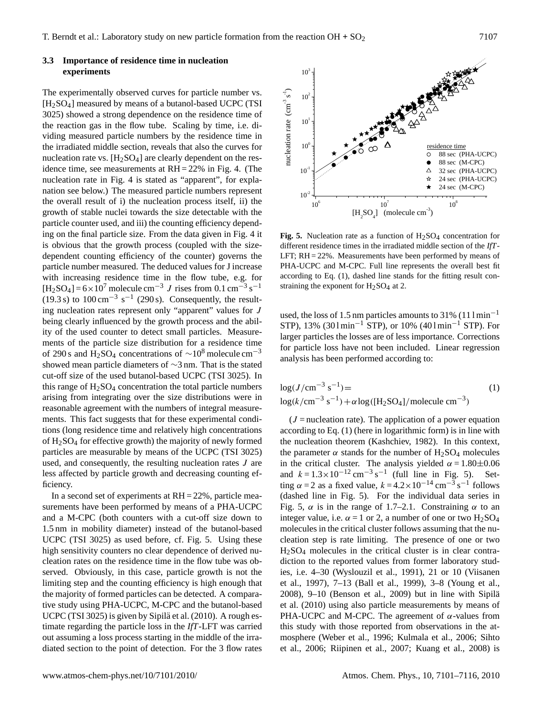## **3.3 Importance of residence time in nucleation experiments**

The experimentally observed curves for particle number vs.  $[H<sub>2</sub>SO<sub>4</sub>]$  measured by means of a butanol-based UCPC (TSI 3025) showed a strong dependence on the residence time of the reaction gas in the flow tube. Scaling by time, i.e. dividing measured particle numbers by the residence time in the irradiated middle section, reveals that also the curves for nucleation rate vs.  $[H_2SO_4]$  are clearly dependent on the residence time, see measurements at RH = 22% in Fig. 4. (The nucleation rate in Fig. 4 is stated as "apparent", for explanation see below.) The measured particle numbers represent the overall result of i) the nucleation process itself, ii) the growth of stable nuclei towards the size detectable with the particle counter used, and iii) the counting efficiency depending on the final particle size. From the data given in Fig. 4 it is obvious that the growth process (coupled with the sizedependent counting efficiency of the counter) governs the particle number measured. The deduced values for J increase with increasing residence time in the flow tube, e.g. for  $[H_2SO_4] = 6 \times 10^7$  molecule cm<sup>-3</sup> J rises from 0.1 cm<sup>-3</sup> s<sup>-1</sup> (19.3 s) to  $100 \text{ cm}^{-3} \text{ s}^{-1}$  (290 s). Consequently, the resulting nucleation rates represent only "apparent" values for J being clearly influenced by the growth process and the ability of the used counter to detect small particles. Measurements of the particle size distribution for a residence time of 290 s and H<sub>2</sub>SO<sub>4</sub> concentrations of  $\sim$ 10<sup>8</sup> molecule cm<sup>-3</sup> showed mean particle diameters of ∼3 nm. That is the stated cut-off size of the used butanol-based UCPC (TSI 3025). In this range of  $H<sub>2</sub>SO<sub>4</sub>$  concentration the total particle numbers arising from integrating over the size distributions were in reasonable agreement with the numbers of integral measurements. This fact suggests that for these experimental conditions (long residence time and relatively high concentrations of  $H<sub>2</sub>SO<sub>4</sub>$  for effective growth) the majority of newly formed particles are measurable by means of the UCPC (TSI 3025) used, and consequently, the resulting nucleation rates J are less affected by particle growth and decreasing counting efficiency.

In a second set of experiments at  $RH = 22\%$ , particle measurements have been performed by means of a PHA-UCPC and a M-CPC (both counters with a cut-off size down to 1.5 nm in mobility diameter) instead of the butanol-based UCPC (TSI 3025) as used before, cf. Fig. 5. Using these high sensitivity counters no clear dependence of derived nucleation rates on the residence time in the flow tube was observed. Obviously, in this case, particle growth is not the limiting step and the counting efficiency is high enough that the majority of formed particles can be detected. A comparative study using PHA-UCPC, M-CPC and the butanol-based UCPC (TSI 3025) is given by Sipilä et al. (2010). A rough estimate regarding the particle loss in the *IfT*-LFT was carried out assuming a loss process starting in the middle of the irradiated section to the point of detection. For the 3 flow rates



**Fig. 5.** Nucleation rate as a function of  $H_2SO_4$  concentration for different residence times in the irradiated middle section of the *IfT*-LFT; RH = 22%. Measurements have been performed by means of PHA-UCPC and M-CPC. Full line represents the overall best fit according to Eq. (1), dashed line stands for the fitting result constraining the exponent for  $H_2SO_4$  at 2.

used, the loss of 1.5 nm particles amounts to 31% (11 $1 \text{ min}^{-1}$ ) STP), 13%  $(301 \text{min}^{-1}$  STP), or 10%  $(401 \text{min}^{-1}$  STP). For larger particles the losses are of less importance. Corrections for particle loss have not been included. Linear regression analysis has been performed according to:

$$
log(J/cm^{-3} s^{-1}) =
$$
  
\n
$$
log(k/cm^{-3} s^{-1}) + \alpha log([H_2SO_4]/molecule cm^{-3})
$$
\n(1)

 $(J = nucleation rate)$ . The application of a power equation according to Eq. (1) (here in logarithmic form) is in line with the nucleation theorem (Kashchiev, 1982). In this context, the parameter  $\alpha$  stands for the number of H<sub>2</sub>SO<sub>4</sub> molecules in the critical cluster. The analysis yielded  $\alpha = 1.80 \pm 0.06$ and  $k = 1.3 \times 10^{-12}$  cm<sup>-3</sup> s<sup>-1</sup> (full line in Fig. 5). Setting  $\alpha = 2$  as a fixed value,  $k = 4.2 \times 10^{-14}$  cm<sup>-3</sup> s<sup>-1</sup> follows (dashed line in Fig. 5). For the individual data series in Fig. 5,  $\alpha$  is in the range of 1.7–2.1. Constraining  $\alpha$  to an integer value, i.e.  $\alpha = 1$  or 2, a number of one or two  $H_2SO_4$ molecules in the critical cluster follows assuming that the nucleation step is rate limiting. The presence of one or two H2SO<sup>4</sup> molecules in the critical cluster is in clear contradiction to the reported values from former laboratory studies, i.e. 4–30 (Wyslouzil et al., 1991), 21 or 10 (Viisanen et al., 1997), 7–13 (Ball et al., 1999), 3–8 (Young et al., 2008), 9–10 (Benson et al., 2009) but in line with Sipila¨ et al. (2010) using also particle measurements by means of PHA-UCPC and M-CPC. The agreement of  $\alpha$ -values from this study with those reported from observations in the atmosphere (Weber et al., 1996; Kulmala et al., 2006; Sihto et al., 2006; Riipinen et al., 2007; Kuang et al., 2008) is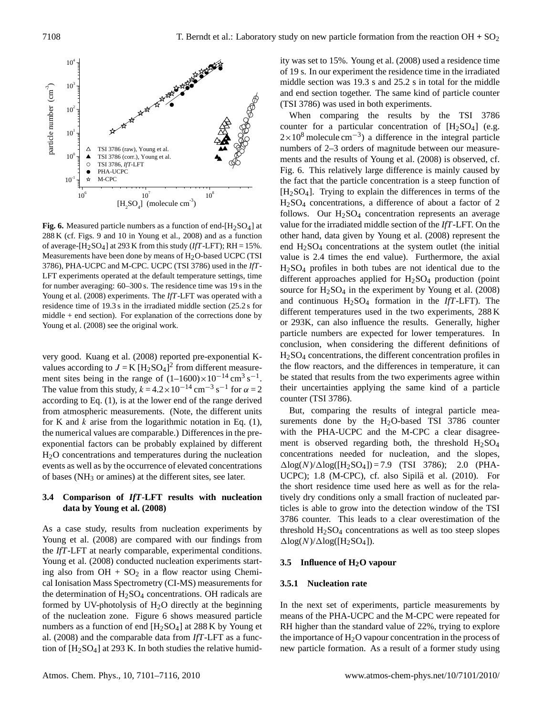

**Fig. 6.** Measured particle numbers as a function of end- $[H_2SO_4]$  at 288 K (cf. Figs. 9 and 10 in Young et al., 2008) and as a function of average- $[H_2SO_4]$  at 293 K from this study (*IfT*-LFT); RH = 15%. Measurements have been done by means of  $H<sub>2</sub>O$ -based UCPC (TSI 3786), PHA-UCPC and M-CPC. UCPC (TSI 3786) used in the *IfT*-LFT experiments operated at the default temperature settings, time for number averaging: 60–300 s. The residence time was 19 s in the Young et al. (2008) experiments. The *IfT*-LFT was operated with a residence time of 19.3 s in the irradiated middle section (25.2 s for middle  $+$  end section). For explanation of the corrections done by Young et al. (2008) see the original work.

very good. Kuang et al. (2008) reported pre-exponential Kvalues according to  $J = K [H_2SO_4]^2$  from different measurement sites being in the range of  $(1-1600)\times 10^{-14}$  cm<sup>3</sup> s<sup>-1</sup>. The value from this study,  $k = 4.2 \times 10^{-14}$  cm<sup>-3</sup> s<sup>-1</sup> for  $\alpha = 2$ according to Eq. (1), is at the lower end of the range derived from atmospheric measurements. (Note, the different units for K and  $k$  arise from the logarithmic notation in Eq. (1), the numerical values are comparable.) Differences in the preexponential factors can be probably explained by different H<sub>2</sub>O concentrations and temperatures during the nucleation events as well as by the occurrence of elevated concentrations of bases (NH<sup>3</sup> or amines) at the different sites, see later.

# **3.4 Comparison of** *IfT***-LFT results with nucleation data by Young et al. (2008)**

As a case study, results from nucleation experiments by Young et al. (2008) are compared with our findings from the *IfT*-LFT at nearly comparable, experimental conditions. Young et al. (2008) conducted nucleation experiments starting also from  $OH + SO<sub>2</sub>$  in a flow reactor using Chemical Ionisation Mass Spectrometry (CI-MS) measurements for the determination of  $H_2SO_4$  concentrations. OH radicals are formed by UV-photolysis of  $H<sub>2</sub>O$  directly at the beginning of the nucleation zone. Figure 6 shows measured particle numbers as a function of end  $[H_2SO_4]$  at 288 K by Young et al. (2008) and the comparable data from *IfT*-LFT as a function of [H2SO4] at 293 K. In both studies the relative humidity was set to 15%. Young et al. (2008) used a residence time of 19 s. In our experiment the residence time in the irradiated middle section was 19.3 s and 25.2 s in total for the middle and end section together. The same kind of particle counter (TSI 3786) was used in both experiments.

When comparing the results by the TSI 3786 counter for a particular concentration of  $[H_2SO_4]$  (e.g.  $2 \times 10^8$  molecule cm<sup>-3</sup>) a difference in the integral particle numbers of 2–3 orders of magnitude between our measurements and the results of Young et al. (2008) is observed, cf. Fig. 6. This relatively large difference is mainly caused by the fact that the particle concentration is a steep function of  $[H<sub>2</sub>SO<sub>4</sub>]$ . Trying to explain the differences in terms of the H2SO<sup>4</sup> concentrations, a difference of about a factor of 2 follows. Our  $H<sub>2</sub>SO<sub>4</sub>$  concentration represents an average value for the irradiated middle section of the *IfT*-LFT. On the other hand, data given by Young et al. (2008) represent the end H2SO<sup>4</sup> concentrations at the system outlet (the initial value is 2.4 times the end value). Furthermore, the axial  $H<sub>2</sub>SO<sub>4</sub>$  profiles in both tubes are not identical due to the different approaches applied for  $H<sub>2</sub>SO<sub>4</sub>$  production (point source for  $H_2SO_4$  in the experiment by Young et al. (2008) and continuous  $H_2SO_4$  formation in the *IfT*-LFT). The different temperatures used in the two experiments, 288 K or 293K, can also influence the results. Generally, higher particle numbers are expected for lower temperatures. In conclusion, when considering the different definitions of H2SO<sup>4</sup> concentrations, the different concentration profiles in the flow reactors, and the differences in temperature, it can be stated that results from the two experiments agree within their uncertainties applying the same kind of a particle counter (TSI 3786).

But, comparing the results of integral particle measurements done by the  $H<sub>2</sub>O$ -based TSI 3786 counter with the PHA-UCPC and the M-CPC a clear disagreement is observed regarding both, the threshold  $H<sub>2</sub>SO<sub>4</sub>$ concentrations needed for nucleation, and the slopes,  $\Delta$ log(N)/ $\Delta$ log([H<sub>2</sub>SO<sub>4</sub>]) = 7.9 (TSI 3786); 2.0 (PHA-UCPC); 1.8 (M-CPC), cf. also Sipilä et al. (2010). For the short residence time used here as well as for the relatively dry conditions only a small fraction of nucleated particles is able to grow into the detection window of the TSI 3786 counter. This leads to a clear overestimation of the threshold  $H<sub>2</sub>SO<sub>4</sub>$  concentrations as well as too steep slopes  $\Delta$ log( $N$ )/ $\Delta$ log([H<sub>2</sub>SO<sub>4</sub>]).

## **3.5 Influence of H2O vapour**

## **3.5.1 Nucleation rate**

In the next set of experiments, particle measurements by means of the PHA-UCPC and the M-CPC were repeated for RH higher than the standard value of 22%, trying to explore the importance of  $H_2O$  vapour concentration in the process of new particle formation. As a result of a former study using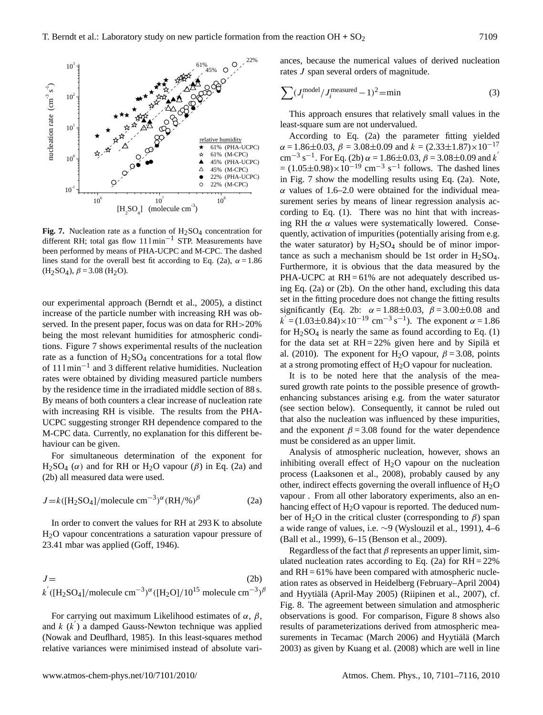

**Fig. 7.** Nucleation rate as a function of  $H_2SO_4$  concentration for different RH; total gas flow 11 l min−<sup>1</sup> STP. Measurements have been performed by means of PHA-UCPC and M-CPC. The dashed lines stand for the overall best fit according to Eq. (2a),  $\alpha = 1.86$  $(H<sub>2</sub>SO<sub>4</sub>), \beta = 3.08$   $(H<sub>2</sub>O).$ 

our experimental approach (Berndt et al., 2005), a distinct increase of the particle number with increasing RH was observed. In the present paper, focus was on data for RH>20% being the most relevant humidities for atmospheric conditions. Figure 7 shows experimental results of the nucleation rate as a function of  $H_2SO_4$  concentrations for a total flow of 11 l min−<sup>1</sup> and 3 different relative humidities. Nucleation rates were obtained by dividing measured particle numbers by the residence time in the irradiated middle section of 88 s. By means of both counters a clear increase of nucleation rate with increasing RH is visible. The results from the PHA-UCPC suggesting stronger RH dependence compared to the M-CPC data. Currently, no explanation for this different behaviour can be given.

For simultaneous determination of the exponent for H<sub>2</sub>SO<sub>4</sub> ( $\alpha$ ) and for RH or H<sub>2</sub>O vapour ( $\beta$ ) in Eq. (2a) and (2b) all measured data were used.

$$
J = k([H_2SO_4]/\text{molecule cm}^{-3})^{\alpha} (RH/\%)^{\beta}
$$
 (2a)

In order to convert the values for RH at 293 K to absolute H<sub>2</sub>O vapour concentrations a saturation vapour pressure of 23.41 mbar was applied (Goff, 1946).

$$
J = (2b)
$$
  

$$
k^{'}([H_2SO_4]/\text{molecule cm}^{-3})^{\alpha}([H_2O]/10^{15} \text{ molecule cm}^{-3})^{\beta}
$$

For carrying out maximum Likelihood estimates of  $\alpha$ ,  $\beta$ , and  $k$  ( $k'$ ) a damped Gauss-Newton technique was applied (Nowak and Deuflhard, 1985). In this least-squares method relative variances were minimised instead of absolute variances, because the numerical values of derived nucleation rates J span several orders of magnitude.

$$
\sum (J_i^{\text{model}}/J_i^{\text{measured}} - 1)^2 = \min \tag{3}
$$

This approach ensures that relatively small values in the least-square sum are not undervalued.

According to Eq. (2a) the parameter fitting yielded  $\alpha = 1.86 \pm 0.03$ ,  $\beta = 3.08 \pm 0.09$  and  $k = (2.33 \pm 1.87) \times 10^{-17}$ cm<sup>-3</sup> s<sup>-1</sup>. For Eq. (2b)  $\alpha = 1.86 \pm 0.03$ ,  $\beta = 3.08 \pm 0.09$  and k<sup>'</sup>  $= (1.05 \pm 0.98) \times 10^{-19}$  cm<sup>-3</sup> s<sup>-1</sup> follows. The dashed lines in Fig. 7 show the modelling results using Eq. (2a). Note, α values of 1.6–2.0 were obtained for the individual measurement series by means of linear regression analysis according to Eq. (1). There was no hint that with increasing RH the  $\alpha$  values were systematically lowered. Consequently, activation of impurities (potentially arising from e.g. the water saturator) by  $H_2SO_4$  should be of minor importance as such a mechanism should be 1st order in  $H_2SO_4$ . Furthermore, it is obvious that the data measured by the PHA-UCPC at  $RH = 61\%$  are not adequately described using Eq. (2a) or (2b). On the other hand, excluding this data set in the fitting procedure does not change the fitting results significantly (Eq. 2b:  $\alpha = 1.88 \pm 0.03$ ,  $\beta = 3.00 \pm 0.08$  and  $k = (1.03 \pm 0.84) \times 10^{-19}$  cm<sup>-3</sup> s<sup>-1</sup>). The exponent  $\alpha = 1.86$ for  $H<sub>2</sub>SO<sub>4</sub>$  is nearly the same as found according to Eq. (1) for the data set at  $RH = 22\%$  given here and by Sipila et al. (2010). The exponent for H<sub>2</sub>O vapour,  $\beta$  = 3.08, points at a strong promoting effect of H2O vapour for nucleation.

It is to be noted here that the analysis of the measured growth rate points to the possible presence of growthenhancing substances arising e.g. from the water saturator (see section below). Consequently, it cannot be ruled out that also the nucleation was influenced by these impurities, and the exponent  $\beta = 3.08$  found for the water dependence must be considered as an upper limit.

Analysis of atmospheric nucleation, however, shows an inhibiting overall effect of  $H_2O$  vapour on the nucleation process (Laaksonen et al., 2008), probably caused by any other, indirect effects governing the overall influence of  $H_2O$ vapour . From all other laboratory experiments, also an enhancing effect of  $H_2O$  vapour is reported. The deduced number of H<sub>2</sub>O in the critical cluster (corresponding to  $\beta$ ) span a wide range of values, i.e. ∼9 (Wyslouzil et al., 1991), 4–6 (Ball et al., 1999), 6–15 (Benson et al., 2009).

Regardless of the fact that  $\beta$  represents an upper limit, simulated nucleation rates according to Eq.  $(2a)$  for RH = 22% and  $RH = 61\%$  have been compared with atmospheric nucleation rates as observed in Heidelberg (February–April 2004) and Hyytiälä (April-May 2005) (Riipinen et al., 2007), cf. Fig. 8. The agreement between simulation and atmospheric observations is good. For comparison, Figure 8 shows also results of parameterizations derived from atmospheric measurements in Tecamac (March 2006) and Hyytiälä (March 2003) as given by Kuang et al. (2008) which are well in line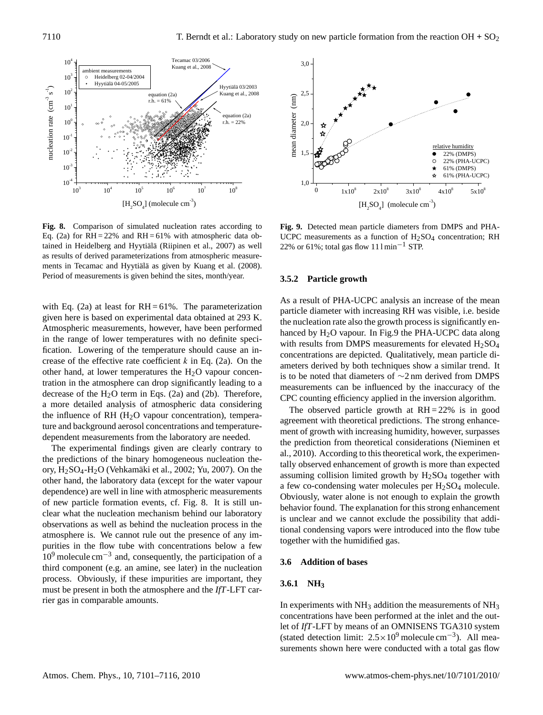

**Fig. 8.** Comparison of simulated nucleation rates according to Eq. (2a) for  $RH = 22\%$  and  $RH = 61\%$  with atmospheric data obtained in Heidelberg and Hyytiälä (Riipinen et al., 2007) as well as results of derived parameterizations from atmospheric measurements in Tecamac and Hyytiälä as given by Kuang et al. (2008). Period of measurements is given behind the sites, month/year.

with Eq. (2a) at least for  $RH = 61\%$ . The parameterization given here is based on experimental data obtained at 293 K. Atmospheric measurements, however, have been performed in the range of lower temperatures with no definite specification. Lowering of the temperature should cause an increase of the effective rate coefficient  $k$  in Eq. (2a). On the other hand, at lower temperatures the  $H<sub>2</sub>O$  vapour concentration in the atmosphere can drop significantly leading to a decrease of the  $H_2O$  term in Eqs. (2a) and (2b). Therefore, a more detailed analysis of atmospheric data considering the influence of RH  $(H<sub>2</sub>O$  vapour concentration), temperature and background aerosol concentrations and temperaturedependent measurements from the laboratory are needed.

The experimental findings given are clearly contrary to the predictions of the binary homogeneous nucleation theory,  $H<sub>2</sub>SO<sub>4</sub>-H<sub>2</sub>O$  (Vehkamäki et al., 2002; Yu, 2007). On the other hand, the laboratory data (except for the water vapour dependence) are well in line with atmospheric measurements of new particle formation events, cf. Fig. 8. It is still unclear what the nucleation mechanism behind our laboratory observations as well as behind the nucleation process in the atmosphere is. We cannot rule out the presence of any impurities in the flow tube with concentrations below a few  $10<sup>9</sup>$  molecule cm<sup>-3</sup> and, consequently, the participation of a third component (e.g. an amine, see later) in the nucleation process. Obviously, if these impurities are important, they must be present in both the atmosphere and the *IfT*-LFT carrier gas in comparable amounts.



**Fig. 9.** Detected mean particle diameters from DMPS and PHA-UCPC measurements as a function of  $H<sub>2</sub>SO<sub>4</sub>$  concentration; RH 22% or 61%; total gas flow  $111$  min<sup>-1</sup> STP.

## **3.5.2 Particle growth**

As a result of PHA-UCPC analysis an increase of the mean particle diameter with increasing RH was visible, i.e. beside the nucleation rate also the growth process is significantly enhanced by  $H_2O$  vapour. In Fig.9 the PHA-UCPC data along with results from DMPS measurements for elevated  $H<sub>2</sub>SO<sub>4</sub>$ concentrations are depicted. Qualitatively, mean particle diameters derived by both techniques show a similar trend. It is to be noted that diameters of ∼2 nm derived from DMPS measurements can be influenced by the inaccuracy of the CPC counting efficiency applied in the inversion algorithm.

The observed particle growth at  $RH = 22\%$  is in good agreement with theoretical predictions. The strong enhancement of growth with increasing humidity, however, surpasses the prediction from theoretical considerations (Nieminen et al., 2010). According to this theoretical work, the experimentally observed enhancement of growth is more than expected assuming collision limited growth by  $H<sub>2</sub>SO<sub>4</sub>$  together with a few co-condensing water molecules per  $H<sub>2</sub>SO<sub>4</sub>$  molecule. Obviously, water alone is not enough to explain the growth behavior found. The explanation for this strong enhancement is unclear and we cannot exclude the possibility that additional condensing vapors were introduced into the flow tube together with the humidified gas.

#### **3.6 Addition of bases**

## **3.6.1 NH<sup>3</sup>**

In experiments with  $NH_3$  addition the measurements of  $NH_3$ concentrations have been performed at the inlet and the outlet of *IfT*-LFT by means of an OMNISENS TGA310 system (stated detection limit: 2.5×10<sup>9</sup> molecule cm−<sup>3</sup> ). All measurements shown here were conducted with a total gas flow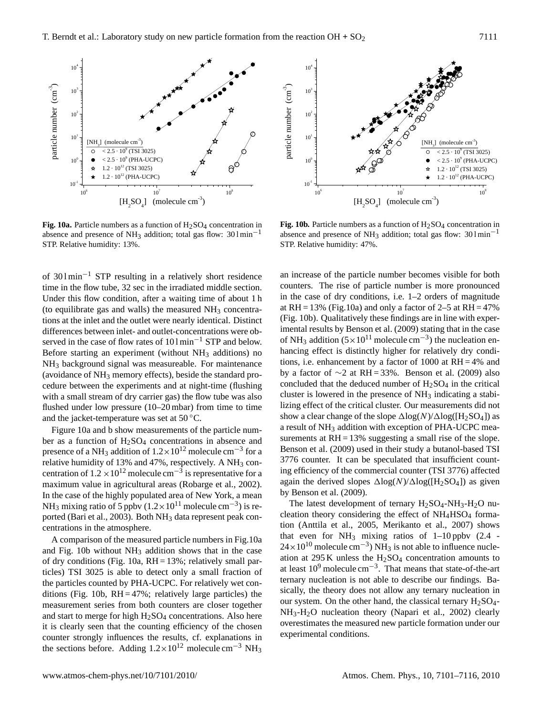

**Fig. 10a.** Particle numbers as a function of  $H_2SO_4$  concentration in absence and presence of NH<sub>3</sub> addition; total gas flow:  $301 \text{min}^{-1}$ STP. Relative humidity: 13%.

of 30 l min−<sup>1</sup> STP resulting in a relatively short residence time in the flow tube, 32 sec in the irradiated middle section. Under this flow condition, after a waiting time of about 1 h (to equilibrate gas and walls) the measured  $NH_3$  concentrations at the inlet and the outlet were nearly identical. Distinct differences between inlet- and outlet-concentrations were observed in the case of flow rates of 101 min<sup>-1</sup> STP and below. Before starting an experiment (without  $NH_3$  additions) no NH<sup>3</sup> background signal was measureable. For maintenance (avoidance of  $NH_3$  memory effects), beside the standard procedure between the experiments and at night-time (flushing with a small stream of dry carrier gas) the flow tube was also flushed under low pressure (10–20 mbar) from time to time and the jacket-temperature was set at  $50^{\circ}$ C.

Figure 10a and b show measurements of the particle number as a function of  $H_2SO_4$  concentrations in absence and presence of a NH<sub>3</sub> addition of  $1.2 \times 10^{12}$  molecule cm<sup>-3</sup> for a relative humidity of 13% and 47%, respectively. A NH<sub>3</sub> concentration of  $1.2 \times 10^{12}$  molecule cm<sup>-3</sup> is representative for a maximum value in agricultural areas (Robarge et al., 2002). In the case of the highly populated area of New York, a mean NH<sub>3</sub> mixing ratio of 5 ppbv (1.2×10<sup>11</sup> molecule cm<sup>-3</sup>) is reported (Bari et al., 2003). Both NH<sub>3</sub> data represent peak concentrations in the atmosphere.

A comparison of the measured particle numbers in Fig.10a and Fig.  $10b$  without  $NH<sub>3</sub>$  addition shows that in the case of dry conditions (Fig. 10a,  $RH = 13\%$ ; relatively small particles) TSI 3025 is able to detect only a small fraction of the particles counted by PHA-UCPC. For relatively wet conditions (Fig. 10b,  $RH = 47\%$ ; relatively large particles) the measurement series from both counters are closer together and start to merge for high  $H<sub>2</sub>SO<sub>4</sub>$  concentrations. Also here it is clearly seen that the counting efficiency of the chosen counter strongly influences the results, cf. explanations in the sections before. Adding  $1.2 \times 10^{12}$  molecule cm<sup>-3</sup> NH<sub>3</sub>



**Fig. 10b.** Particle numbers as a function of  $H_2SO_4$  concentration in absence and presence of NH<sub>3</sub> addition; total gas flow:  $301 \text{min}^{-1}$ STP. Relative humidity: 47%.

an increase of the particle number becomes visible for both counters. The rise of particle number is more pronounced in the case of dry conditions, i.e. 1–2 orders of magnitude at RH = 13% (Fig.10a) and only a factor of 2–5 at RH = 47% (Fig. 10b). Qualitatively these findings are in line with experimental results by Benson et al. (2009) stating that in the case of NH<sub>3</sub> addition (5×10<sup>11</sup> molecule cm<sup>-3</sup>) the nucleation enhancing effect is distinctly higher for relatively dry conditions, i.e. enhancement by a factor of 1000 at RH = 4% and by a factor of  $\sim$ 2 at RH = 33%. Benson et al. (2009) also concluded that the deduced number of  $H_2SO_4$  in the critical cluster is lowered in the presence of NH<sub>3</sub> indicating a stabilizing effect of the critical cluster. Our measurements did not show a clear change of the slope  $\Delta$ log(N)/ $\Delta$ log([H<sub>2</sub>SO<sub>4</sub>]) as a result of NH<sub>3</sub> addition with exception of PHA-UCPC measurements at  $RH = 13\%$  suggesting a small rise of the slope. Benson et al. (2009) used in their study a butanol-based TSI 3776 counter. It can be speculated that insufficient counting efficiency of the commercial counter (TSI 3776) affected again the derived slopes  $\Delta \log(N)/\Delta \log(H_2SO_4)$  as given by Benson et al. (2009).

The latest development of ternary  $H_2SO_4$ -NH<sub>3</sub>-H<sub>2</sub>O nucleation theory considering the effect of  $NH<sub>4</sub>HSO<sub>4</sub>$  formation (Anttila et al., 2005, Merikanto et al., 2007) shows that even for  $NH_3$  mixing ratios of 1–10 ppbv (2.4 - $24 \times 10^{10}$  molecule cm<sup>-3</sup>) NH<sub>3</sub> is not able to influence nucleation at 295 K unless the  $H_2SO_4$  concentration amounts to at least  $10^9$  molecule cm<sup>-3</sup>. That means that state-of-the-art ternary nucleation is not able to describe our findings. Basically, the theory does not allow any ternary nucleation in our system. On the other hand, the classical ternary  $H<sub>2</sub>SO<sub>4</sub>$ -NH3-H2O nucleation theory (Napari et al., 2002) clearly overestimates the measured new particle formation under our experimental conditions.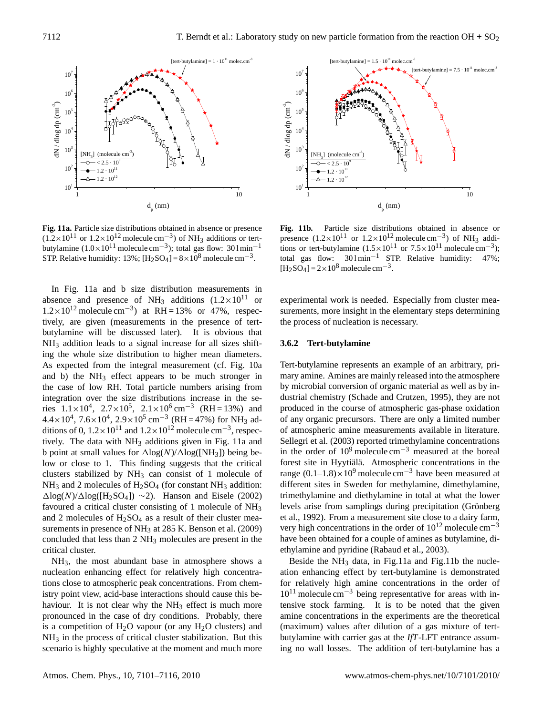

**Fig. 11a.** Particle size distributions obtained in absence or presence  $(1.2 \times 10^{11} \text{ or } 1.2 \times 10^{12} \text{ molecule cm}^{-3})$  of NH<sub>3</sub> additions or tertbutylamine  $(1.0 \times 10^{11} \text{ molecule cm}^{-3})$ ; total gas flow: 30 l min<sup>-1</sup> STP. Relative humidity: 13%;  $[H_2SO_4] = 8 \times 10^8$  molecule cm<sup>-3</sup>.

In Fig. 11a and b size distribution measurements in absence and presence of NH<sub>3</sub> additions  $(1.2 \times 10^{11}$  or  $1.2 \times 10^{12}$  molecule cm<sup>-3</sup>) at RH = 13% or 47%, respectively, are given (measurements in the presence of tertbutylamine will be discussed later). It is obvious that NH<sub>3</sub> addition leads to a signal increase for all sizes shifting the whole size distribution to higher mean diameters. As expected from the integral measurement (cf. Fig. 10a and b) the  $NH_3$  effect appears to be much stronger in the case of low RH. Total particle numbers arising from integration over the size distributions increase in the series  $1.1 \times 10^4$ ,  $2.7 \times 10^5$ ,  $2.1 \times 10^6$  cm<sup>-3</sup> (RH = 13%) and  $4.4 \times 10^4$ ,  $7.6 \times 10^4$ ,  $2.9 \times 10^5$  cm<sup>-3</sup> (RH = 47%) for NH<sub>3</sub> additions of 0,  $1.2 \times 10^{11}$  and  $1.2 \times 10^{12}$  molecule cm<sup>-3</sup>, respectively. The data with NH<sub>3</sub> additions given in Fig. 11a and b point at small values for  $\Delta \log(N)/\Delta \log(NH_3)$ ) being below or close to 1. This finding suggests that the critical clusters stabilized by  $NH<sub>3</sub>$  can consist of 1 molecule of  $NH<sub>3</sub>$  and 2 molecules of H<sub>2</sub>SO<sub>4</sub> (for constant NH<sub>3</sub> addition:  $\Delta$ log(N)/ $\Delta$ log([H<sub>2</sub>SO<sub>4</sub>]) ~2). Hanson and Eisele (2002) favoured a critical cluster consisting of 1 molecule of NH<sup>3</sup> and 2 molecules of  $H<sub>2</sub>SO<sub>4</sub>$  as a result of their cluster measurements in presence of NH<sub>3</sub> at 285 K. Benson et al. (2009) concluded that less than 2 NH<sup>3</sup> molecules are present in the critical cluster.

NH3, the most abundant base in atmosphere shows a nucleation enhancing effect for relatively high concentrations close to atmospheric peak concentrations. From chemistry point view, acid-base interactions should cause this behaviour. It is not clear why the  $NH<sub>3</sub>$  effect is much more pronounced in the case of dry conditions. Probably, there is a competition of  $H_2O$  vapour (or any  $H_2O$  clusters) and  $NH<sub>3</sub>$  in the process of critical cluster stabilization. But this scenario is highly speculative at the moment and much more



**Fig. 11b.** Particle size distributions obtained in absence or presence  $(1.2 \times 10^{11} \text{ or } 1.2 \times 10^{12} \text{ molecule cm}^{-3})$  of NH<sub>3</sub> additions or tert-butylamine  $(1.5 \times 10^{11} \text{ or } 7.5 \times 10^{11} \text{ molecule cm}^{-3})$ ; total gas flow: 30 l min−<sup>1</sup> STP. Relative humidity: 47%;  $[H_2SO_4] = 2 \times 10^8$  molecule cm<sup>-3</sup>.

experimental work is needed. Especially from cluster measurements, more insight in the elementary steps determining the process of nucleation is necessary.

#### **3.6.2 Tert-butylamine**

Tert-butylamine represents an example of an arbitrary, primary amine. Amines are mainly released into the atmosphere by microbial conversion of organic material as well as by industrial chemistry (Schade and Crutzen, 1995), they are not produced in the course of atmospheric gas-phase oxidation of any organic precursors. There are only a limited number of atmospheric amine measurements available in literature. Sellegri et al. (2003) reported trimethylamine concentrations in the order of  $10^9$  molecule cm<sup>-3</sup> measured at the boreal forest site in Hyytiälä. Atmospheric concentrations in the range  $(0.1-1.8) \times 10^9$  molecule cm<sup>-3</sup> have been measured at different sites in Sweden for methylamine, dimethylamine, trimethylamine and diethylamine in total at what the lower levels arise from samplings during precipitation (Grönberg et al., 1992). From a measurement site close to a dairy farm, very high concentrations in the order of  $10^{12}$  molecule cm<sup>-3</sup> have been obtained for a couple of amines as butylamine, diethylamine and pyridine (Rabaud et al., 2003).

Beside the  $NH_3$  data, in Fig.11a and Fig.11b the nucleation enhancing effect by tert-butylamine is demonstrated for relatively high amine concentrations in the order of  $10^{11}$  molecule cm<sup>-3</sup> being representative for areas with intensive stock farming. It is to be noted that the given amine concentrations in the experiments are the theoretical (maximum) values after dilution of a gas mixture of tertbutylamine with carrier gas at the *IfT*-LFT entrance assuming no wall losses. The addition of tert-butylamine has a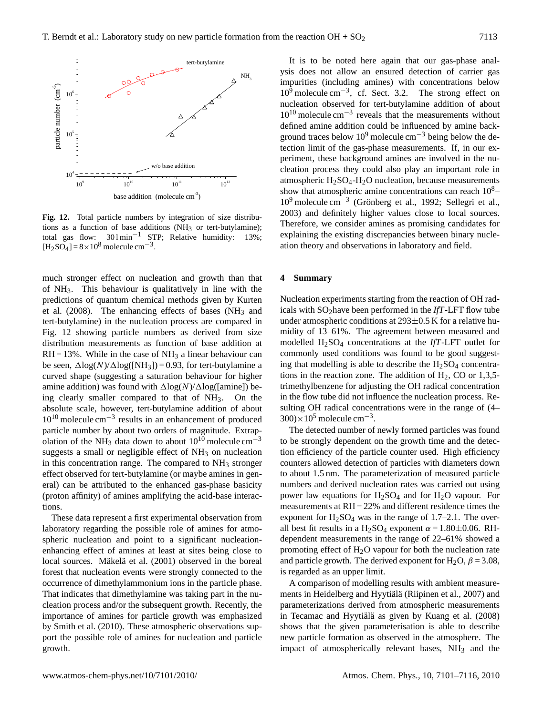

**Fig. 12.** Total particle numbers by integration of size distributions as a function of base additions (NH<sub>3</sub> or tert-butylamine); total gas flow:  $301 \text{min}^{-1}$  STP; Relative humidity: 13%; total gas flow:  $301 \text{min}^{-1}$  STP; Relative humidity:  $[H_2SO_4] = 8 \times 10^8$  molecule cm<sup>-3</sup>.

much stronger effect on nucleation and growth than that of NH3. This behaviour is qualitatively in line with the predictions of quantum chemical methods given by Kurten et al.  $(2008)$ . The enhancing effects of bases  $(NH<sub>3</sub>$  and tert-butylamine) in the nucleation process are compared in Fig. 12 showing particle numbers as derived from size distribution measurements as function of base addition at  $RH = 13\%$ . While in the case of  $NH<sub>3</sub>$  a linear behaviour can be seen,  $\Delta$ log(N)/ $\Delta$ log([NH<sub>3</sub>]) = 0.93, for tert-butylamine a curved shape (suggesting a saturation behaviour for higher amine addition) was found with  $\Delta \log(N)/\Delta \log(\text{[amine]})$  being clearly smaller compared to that of  $NH<sub>3</sub>$ . On the absolute scale, however, tert-butylamine addition of about 10<sup>10</sup> molecule cm−<sup>3</sup> results in an enhancement of produced particle number by about two orders of magnitude. Extrapolation of the NH<sub>3</sub> data down to about 10<sup>10</sup> molecule cm<sup>-3</sup> suggests a small or negligible effect of  $NH<sub>3</sub>$  on nucleation in this concentration range. The compared to  $NH<sub>3</sub>$  stronger effect observed for tert-butylamine (or maybe amines in general) can be attributed to the enhanced gas-phase basicity (proton affinity) of amines amplifying the acid-base interactions.

These data represent a first experimental observation from laboratory regarding the possible role of amines for atmospheric nucleation and point to a significant nucleationenhancing effect of amines at least at sites being close to local sources. Mäkelä et al. (2001) observed in the boreal forest that nucleation events were strongly connected to the occurrence of dimethylammonium ions in the particle phase. That indicates that dimethylamine was taking part in the nucleation process and/or the subsequent growth. Recently, the importance of amines for particle growth was emphasized by Smith et al. (2010). These atmospheric observations support the possible role of amines for nucleation and particle growth.

It is to be noted here again that our gas-phase analysis does not allow an ensured detection of carrier gas impurities (including amines) with concentrations below 10<sup>9</sup> molecule cm−<sup>3</sup> , cf. Sect. 3.2. The strong effect on nucleation observed for tert-butylamine addition of about 10<sup>10</sup> molecule cm−<sup>3</sup> reveals that the measurements without defined amine addition could be influenced by amine background traces below  $10^9$  molecule cm<sup>-3</sup> being below the detection limit of the gas-phase measurements. If, in our experiment, these background amines are involved in the nucleation process they could also play an important role in atmospheric  $H_2SO_4-H_2O$  nucleation, because measurements show that atmospheric amine concentrations can reach  $10<sup>8</sup>$ -10<sup>9</sup> molecule cm<sup>-3</sup> (Grönberg et al., 1992; Sellegri et al., 2003) and definitely higher values close to local sources. Therefore, we consider amines as promising candidates for explaining the existing discrepancies between binary nucleation theory and observations in laboratory and field.

## **4 Summary**

Nucleation experiments starting from the reaction of OH radicals with SO<sub>2</sub> have been performed in the *IfT*-LFT flow tube under atmospheric conditions at  $293\pm0.5$  K for a relative humidity of 13–61%. The agreement between measured and modelled H2SO<sup>4</sup> concentrations at the *IfT*-LFT outlet for commonly used conditions was found to be good suggesting that modelling is able to describe the  $H<sub>2</sub>SO<sub>4</sub>$  concentrations in the reaction zone. The addition of  $H_2$ , CO or 1,3,5trimethylbenzene for adjusting the OH radical concentration in the flow tube did not influence the nucleation process. Resulting OH radical concentrations were in the range of (4–  $300 \times 10^5$  molecule cm<sup>-3</sup>.

The detected number of newly formed particles was found to be strongly dependent on the growth time and the detection efficiency of the particle counter used. High efficiency counters allowed detection of particles with diameters down to about 1.5 nm. The parameterization of measured particle numbers and derived nucleation rates was carried out using power law equations for  $H_2SO_4$  and for  $H_2O$  vapour. For measurements at RH = 22% and different residence times the exponent for  $H_2SO_4$  was in the range of 1.7–2.1. The overall best fit results in a H<sub>2</sub>SO<sub>4</sub> exponent  $\alpha = 1.80 \pm 0.06$ . RHdependent measurements in the range of 22–61% showed a promoting effect of  $H_2O$  vapour for both the nucleation rate and particle growth. The derived exponent for H<sub>2</sub>O,  $\beta$  = 3.08, is regarded as an upper limit.

A comparison of modelling results with ambient measurements in Heidelberg and Hyytiälä (Riipinen et al., 2007) and parameterizations derived from atmospheric measurements in Tecamac and Hyytiälä as given by Kuang et al. (2008) shows that the given parameterisation is able to describe new particle formation as observed in the atmosphere. The impact of atmospherically relevant bases,  $NH<sub>3</sub>$  and the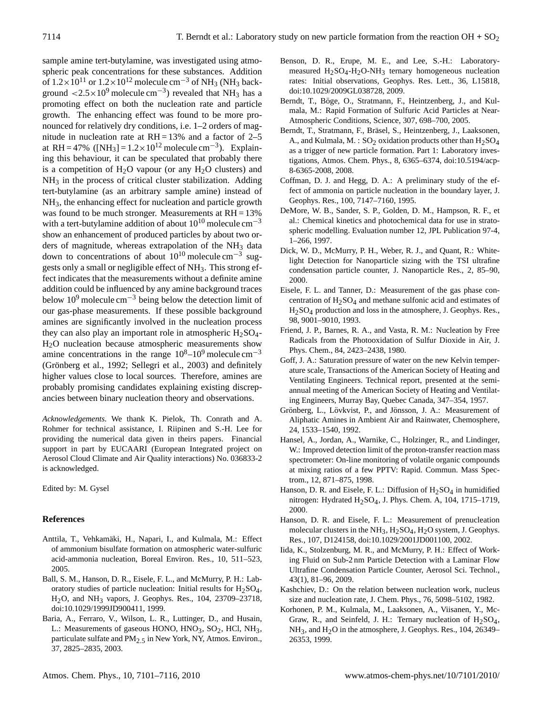sample amine tert-butylamine, was investigated using atmospheric peak concentrations for these substances. Addition of  $1.2\times10^{11}$  or  $1.2\times10^{12}$  molecule cm<sup>-3</sup> of NH<sub>3</sub> (NH<sub>3</sub> background  $\langle 2.5 \times 10^9 \text{ molecule cm}^{-3} \rangle$  revealed that NH<sub>3</sub> has a promoting effect on both the nucleation rate and particle growth. The enhancing effect was found to be more pronounced for relatively dry conditions, i.e. 1–2 orders of magnitude in nucleation rate at  $RH = 13%$  and a factor of 2–5 at RH = 47% ([NH<sub>3</sub>] =  $1.2 \times 10^{12}$  molecule cm<sup>-3</sup>). Explaining this behaviour, it can be speculated that probably there is a competition of  $H_2O$  vapour (or any  $H_2O$  clusters) and  $NH<sub>3</sub>$  in the process of critical cluster stabilization. Adding tert-butylamine (as an arbitrary sample amine) instead of NH3, the enhancing effect for nucleation and particle growth was found to be much stronger. Measurements at  $RH = 13\%$ with a tert-butylamine addition of about  $10^{10}$  molecule cm<sup>-3</sup> show an enhancement of produced particles by about two orders of magnitude, whereas extrapolation of the  $NH<sub>3</sub>$  data down to concentrations of about  $10^{10}$  molecule cm<sup>-3</sup> suggests only a small or negligible effect of NH3. This strong effect indicates that the measurements without a definite amine addition could be influenced by any amine background traces below  $10^9$  molecule cm<sup>-3</sup> being below the detection limit of our gas-phase measurements. If these possible background amines are significantly involved in the nucleation process they can also play an important role in atmospheric  $H_2SO_4$ -H2O nucleation because atmospheric measurements show amine concentrations in the range  $10^8$ – $10^9$  molecule cm<sup>-3</sup> (Grönberg et al., 1992; Sellegri et al., 2003) and definitely higher values close to local sources. Therefore, amines are probably promising candidates explaining existing discrepancies between binary nucleation theory and observations.

*Acknowledgements.* We thank K. Pielok, Th. Conrath and A. Rohmer for technical assistance, I. Riipinen and S.-H. Lee for providing the numerical data given in theirs papers. Financial support in part by EUCAARI (European Integrated project on Aerosol Cloud Climate and Air Quality interactions) No. 036833-2 is acknowledged.

Edited by: M. Gysel

## **References**

- Anttila, T., Vehkamäki, H., Napari, I., and Kulmala, M.: Effect of ammonium bisulfate formation on atmospheric water-sulfuric acid-ammonia nucleation, Boreal Environ. Res., 10, 511–523, 2005.
- Ball, S. M., Hanson, D. R., Eisele, F. L., and McMurry, P. H.: Laboratory studies of particle nucleation: Initial results for  $H_2SO_4$ , H2O, and NH3 vapors, J. Geophys. Res., 104, 23709–23718, doi:10.1029/1999JD900411, 1999.
- Baria, A., Ferraro, V., Wilson, L. R., Luttinger, D., and Husain, L.: Measurements of gaseous HONO,  $HNO<sub>3</sub>$ ,  $SO<sub>2</sub>$ , HCl, NH<sub>3</sub>, particulate sulfate and PM<sub>2.5</sub> in New York, NY, Atmos. Environ., 37, 2825–2835, 2003.
- Benson, D. R., Erupe, M. E., and Lee, S.-H.: Laboratorymeasured  $H_2SO_4-H_2O-NH_3$  ternary homogeneous nucleation rates: Initial observations, Geophys. Res. Lett., 36, L15818, doi:10.1029/2009GL038728, 2009.
- Berndt, T., Böge, O., Stratmann, F., Heintzenberg, J., and Kulmala, M.: Rapid Formation of Sulfuric Acid Particles at Near-Atmospheric Conditions, Science, 307, 698–700, 2005.
- Berndt, T., Stratmann, F., Bräsel, S., Heintzenberg, J., Laaksonen, A., and Kulmala, M. :  $SO_2$  oxidation products other than  $H_2SO_4$ as a trigger of new particle formation. Part 1: Laboratory investigations, Atmos. Chem. Phys., 8, 6365–6374, doi:10.5194/acp-8-6365-2008, 2008.
- Coffman, D. J. and Hegg, D. A.: A preliminary study of the effect of ammonia on particle nucleation in the boundary layer, J. Geophys. Res., 100, 7147–7160, 1995.
- DeMore, W. B., Sander, S. P., Golden, D. M., Hampson, R. F., et al.: Chemical kinetics and photochemical data for use in stratospheric modelling. Evaluation number 12, JPL Publication 97-4, 1–266, 1997.
- Dick, W. D., McMurry, P. H., Weber, R. J., and Quant, R.: Whitelight Detection for Nanoparticle sizing with the TSI ultrafine condensation particle counter, J. Nanoparticle Res., 2, 85–90, 2000.
- Eisele, F. L. and Tanner, D.: Measurement of the gas phase concentration of  $H_2SO_4$  and methane sulfonic acid and estimates of H2SO4 production and loss in the atmosphere, J. Geophys. Res., 98, 9001–9010, 1993.
- Friend, J. P., Barnes, R. A., and Vasta, R. M.: Nucleation by Free Radicals from the Photooxidation of Sulfur Dioxide in Air, J. Phys. Chem., 84, 2423–2438, 1980.
- Goff, J. A.: Saturation pressure of water on the new Kelvin temperature scale, Transactions of the American Society of Heating and Ventilating Engineers. Technical report, presented at the semiannual meeting of the American Society of Heating and Ventilating Engineers, Murray Bay, Quebec Canada, 347–354, 1957.
- Grönberg, L., Lövkvist, P., and Jönsson, J. A.: Measurement of Aliphatic Amines in Ambient Air and Rainwater, Chemosphere, 24, 1533–1540, 1992.
- Hansel, A., Jordan, A., Warnike, C., Holzinger, R., and Lindinger, W.: Improved detection limit of the proton-transfer reaction mass spectrometer: On-line monitoring of volatile organic compounds at mixing ratios of a few PPTV: Rapid. Commun. Mass Spectrom., 12, 871–875, 1998.
- Hanson, D. R. and Eisele, F. L.: Diffusion of  $H_2SO_4$  in humidified nitrogen: Hydrated H<sub>2</sub>SO<sub>4</sub>, J. Phys. Chem. A, 104, 1715-1719, 2000.
- Hanson, D. R. and Eisele, F. L.: Measurement of prenucleation molecular clusters in the NH<sub>3</sub>,  $H<sub>2</sub>SO<sub>4</sub>$ ,  $H<sub>2</sub>O$  system, J. Geophys. Res., 107, D124158, doi:10.1029/2001JD001100, 2002.
- Iida, K., Stolzenburg, M. R., and McMurry, P. H.: Effect of Working Fluid on Sub-2 nm Particle Detection with a Laminar Flow Ultrafine Condensation Particle Counter, Aerosol Sci. Technol., 43(1), 81–96, 2009.
- Kashchiev, D.: On the relation between nucleation work, nucleus size and nucleation rate, J. Chem. Phys., 76, 5098–5102, 1982.
- Korhonen, P. M., Kulmala, M., Laaksonen, A., Viisanen, Y., Mc-Graw, R., and Seinfeld, J. H.: Ternary nucleation of  $H_2SO_4$ , NH<sub>3</sub>, and H<sub>2</sub>O in the atmosphere, J. Geophys. Res., 104, 26349– 26353, 1999.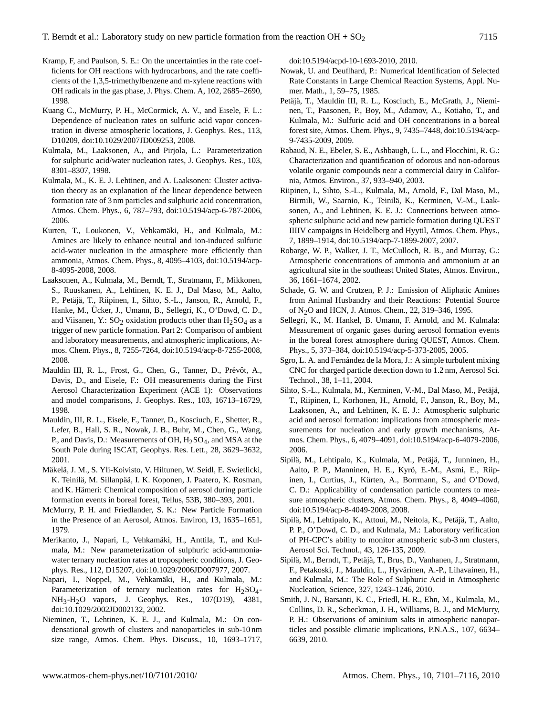- Kramp, F, and Paulson, S. E.: On the uncertainties in the rate coefficients for OH reactions with hydrocarbons, and the rate coefficients of the 1,3,5-trimethylbenzene and m-xylene reactions with OH radicals in the gas phase, J. Phys. Chem. A, 102, 2685–2690, 1998.
- Kuang C., McMurry, P. H., McCormick, A. V., and Eisele, F. L.: Dependence of nucleation rates on sulfuric acid vapor concentration in diverse atmospheric locations, J. Geophys. Res., 113, D10209, doi:10.1029/2007JD009253, 2008.
- Kulmala, M., Laaksonen, A., and Pirjola, L.: Parameterization for sulphuric acid/water nucleation rates, J. Geophys. Res., 103, 8301–8307, 1998.
- Kulmala, M., K. E. J. Lehtinen, and A. Laaksonen: Cluster activation theory as an explanation of the linear dependence between formation rate of 3 nm particles and sulphuric acid concentration, Atmos. Chem. Phys., 6, 787–793, doi:10.5194/acp-6-787-2006, 2006.
- Kurten, T., Loukonen, V., Vehkamäki, H., and Kulmala, M.: Amines are likely to enhance neutral and ion-induced sulfuric acid-water nucleation in the atmosphere more efficiently than ammonia, Atmos. Chem. Phys., 8, 4095–4103, doi:10.5194/acp-8-4095-2008, 2008.
- Laaksonen, A., Kulmala, M., Berndt, T., Stratmann, F., Mikkonen, S., Ruuskanen, A., Lehtinen, K. E. J., Dal Maso, M., Aalto, P., Petäjä, T., Riipinen, I., Sihto, S.-L., Janson, R., Arnold, F., Hanke, M., Ücker, J., Umann, B., Sellegri, K., O'Dowd, C. D., and Viisanen, Y.:  $SO_2$  oxidation products other than  $H_2SO_4$  as a trigger of new particle formation. Part 2: Comparison of ambient and laboratory measurements, and atmospheric implications, Atmos. Chem. Phys., 8, 7255-7264, doi:10.5194/acp-8-7255-2008, 2008.
- Mauldin III, R. L., Frost, G., Chen, G., Tanner, D., Prévôt, A., Davis, D., and Eisele, F.: OH measurements during the First Aerosol Characterization Experiment (ACE 1): Observations and model comparisons, J. Geophys. Res., 103, 16713–16729, 1998.
- Mauldin, III, R. L., Eisele, F., Tanner, D., Kosciuch, E., Shetter, R., Lefer, B., Hall, S. R., Nowak, J. B., Buhr, M., Chen, G., Wang, P., and Davis, D.: Measurements of OH,  $H_2SO_4$ , and MSA at the South Pole during ISCAT, Geophys. Res. Lett., 28, 3629–3632, 2001.
- Mäkelä, J. M., S. Yli-Koivisto, V. Hiltunen, W. Seidl, E. Swietlicki, K. Teinilä, M. Sillanpää, I. K. Koponen, J. Paatero, K. Rosman, and K. Hämeri: Chemical composition of aerosol during particle formation events in boreal forest, Tellus, 53B, 380–393, 2001.
- McMurry, P. H. and Friedlander, S. K.: New Particle Formation in the Presence of an Aerosol, Atmos. Environ, 13, 1635–1651, 1979.
- Merikanto, J., Napari, I., Vehkamäki, H., Anttila, T., and Kulmala, M.: New parameterization of sulphuric acid-ammoniawater ternary nucleation rates at tropospheric conditions, J. Geophys. Res., 112, D15207, doi:10.1029/2006JD007977, 2007.
- Napari, I., Noppel, M., Vehkamäki, H., and Kulmala, M.: Parameterization of ternary nucleation rates for  $H_2SO_4$ -NH3-H2O vapors, J. Geophys. Res., 107(D19), 4381, doi:10.1029/2002JD002132, 2002.
- Nieminen, T., Lehtinen, K. E. J., and Kulmala, M.: On condensational growth of clusters and nanoparticles in sub-10 nm size range, Atmos. Chem. Phys. Discuss., 10, 1693–1717,

doi:10.5194/acpd-10-1693-2010, 2010.

- Nowak, U. and Deuflhard, P.: Numerical Identification of Selected Rate Constants in Large Chemical Reaction Systems, Appl. Numer. Math., 1, 59–75, 1985.
- Petäjä, T., Mauldin III, R. L., Kosciuch, E., McGrath, J., Nieminen, T., Paasonen, P., Boy, M., Adamov, A., Kotiaho, T., and Kulmala, M.: Sulfuric acid and OH concentrations in a boreal forest site, Atmos. Chem. Phys., 9, 7435–7448, doi:10.5194/acp-9-7435-2009, 2009.
- Rabaud, N. E., Ebeler, S. E., Ashbaugh, L. L., and Flocchini, R. G.: Characterization and quantification of odorous and non-odorous volatile organic compounds near a commercial dairy in California, Atmos. Environ., 37, 933–940, 2003.
- Riipinen, I., Sihto, S.-L., Kulmala, M., Arnold, F., Dal Maso, M., Birmili, W., Saarnio, K., Teinila, K., Kerminen, V.-M., Laak- ¨ sonen, A., and Lehtinen, K. E. J.: Connections between atmospheric sulphuric acid and new particle formation during QUEST IIIIV campaigns in Heidelberg and Hyytil, Atmos. Chem. Phys., 7, 1899–1914, doi:10.5194/acp-7-1899-2007, 2007.
- Robarge, W. P., Walker, J. T., McCulloch, R. B., and Murray, G.: Atmospheric concentrations of ammonia and ammonium at an agricultural site in the southeast United States, Atmos. Environ., 36, 1661–1674, 2002.
- Schade, G. W. and Crutzen, P. J.: Emission of Aliphatic Amines from Animal Husbandry and their Reactions: Potential Source of N2O and HCN, J. Atmos. Chem., 22, 319–346, 1995.
- Sellegri, K., M. Hankel, B. Umann, F. Arnold, and M. Kulmala: Measurement of organic gases during aerosol formation events in the boreal forest atmosphere during QUEST, Atmos. Chem. Phys., 5, 373–384, doi:10.5194/acp-5-373-2005, 2005.
- Sgro, L. A. and Fernández de la Mora, J.: A simple turbulent mixing CNC for charged particle detection down to 1.2 nm, Aerosol Sci. Technol., 38, 1–11, 2004.
- Sihto, S.-L., Kulmala, M., Kerminen, V.-M., Dal Maso, M., Petäjä, T., Riipinen, I., Korhonen, H., Arnold, F., Janson, R., Boy, M., Laaksonen, A., and Lehtinen, K. E. J.: Atmospheric sulphuric acid and aerosol formation: implications from atmospheric measurements for nucleation and early growth mechanisms, Atmos. Chem. Phys., 6, 4079–4091, doi:10.5194/acp-6-4079-2006, 2006.
- Sipilä, M., Lehtipalo, K., Kulmala, M., Petäjä, T., Junninen, H., Aalto, P. P., Manninen, H. E., Kyrö, E.-M., Asmi, E., Riipinen, I., Curtius, J., Kürten, A., Borrmann, S., and O'Dowd, C. D.: Applicability of condensation particle counters to measure atmospheric clusters, Atmos. Chem. Phys., 8, 4049–4060, doi:10.5194/acp-8-4049-2008, 2008.
- Sipilä, M., Lehtipalo, K., Attoui, M., Neitola, K., Petäjä, T., Aalto, P. P., O'Dowd, C. D., and Kulmala, M.: Laboratory verification of PH-CPC's ability to monitor atmospheric sub-3 nm clusters, Aerosol Sci. Technol., 43, 126-135, 2009.
- Sipilä, M., Berndt, T., Petäjä, T., Brus, D., Vanhanen, J., Stratmann, F., Petakoski, J., Mauldin, L., Hyvärinen, A.-P., Lihavainen, H., and Kulmala, M.: The Role of Sulphuric Acid in Atmospheric Nucleation, Science, 327, 1243–1246, 2010.
- Smith, J. N., Barsanti, K. C., Friedl, H. R., Ehn, M., Kulmala, M., Collins, D. R., Scheckman, J. H., Williams, B. J., and McMurry, P. H.: Observations of aminium salts in atmospheric nanoparticles and possible climatic implications, P.N.A.S., 107, 6634– 6639, 2010.